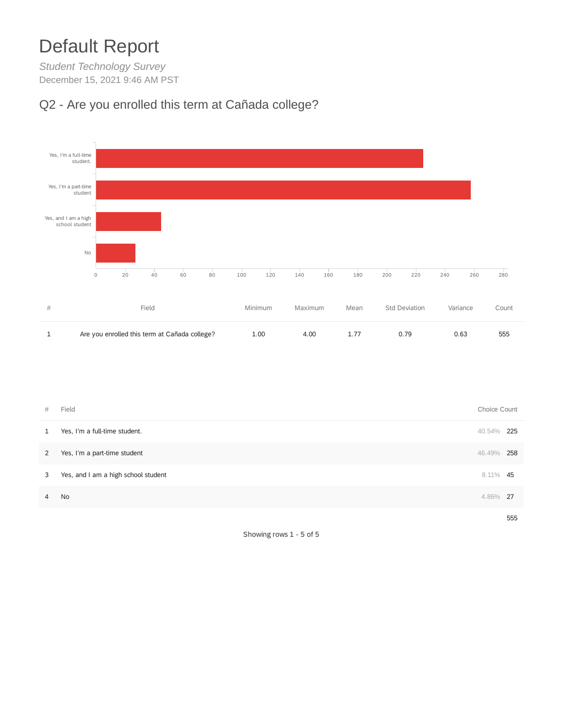## Default Report

*Student Technology Survey* December 15, 2021 9:46 AM PST

## Q2 - Are you enrolled this term at Cañada college?



| #              | Field                               | Choice Count |     |
|----------------|-------------------------------------|--------------|-----|
| 1              | Yes, I'm a full-time student.       | 40.54%       | 225 |
| $\mathbf{2}$   | Yes, I'm a part-time student        | 46.49%       | 258 |
| $\mathbf{3}$   | Yes, and I am a high school student | 8.11% 45     |     |
| $\overline{4}$ | No                                  | 4.86%        | -27 |
|                |                                     |              | 555 |

Showing rows 1 - 5 of 5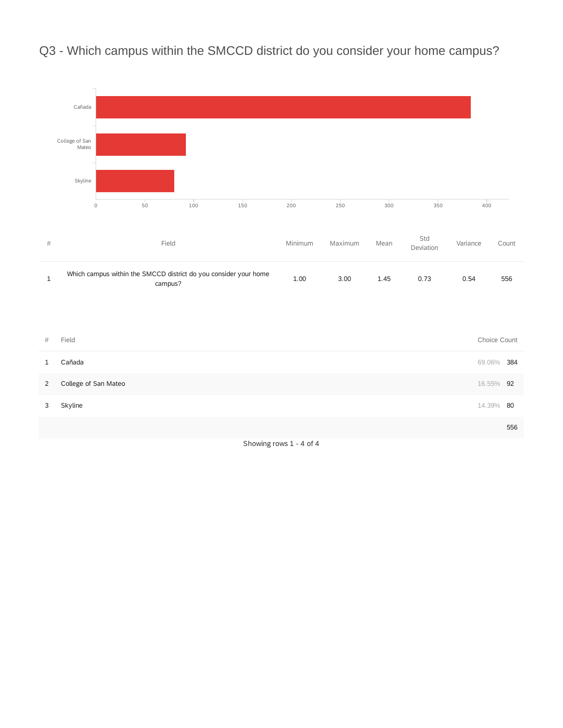Q3 - Which campus within the SMCCD district do you consider your home campus?



Showing rows 1 - 4 of 4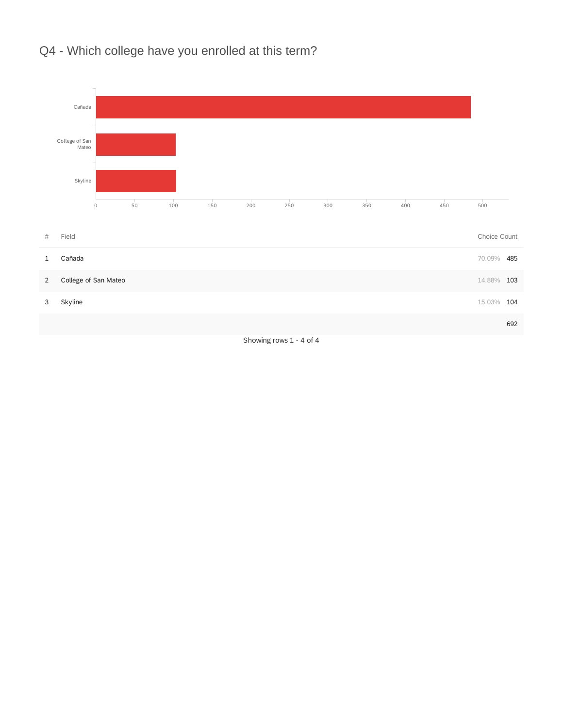

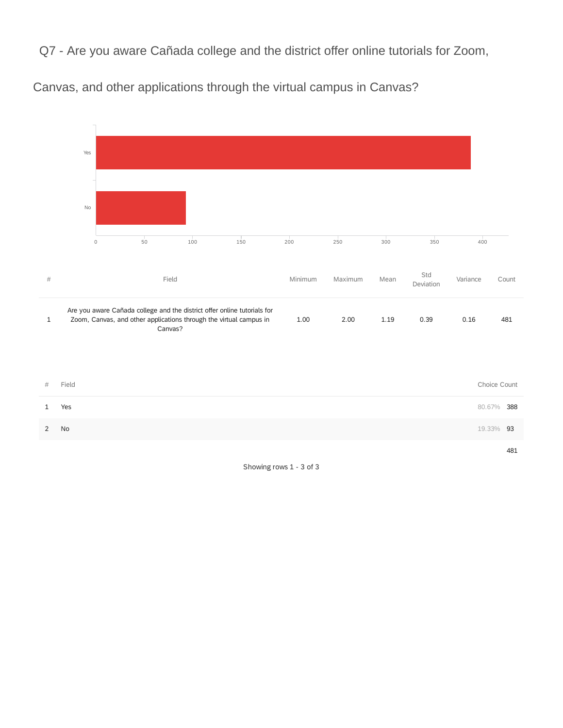Q7 - Are you aware Cañada college and the district offer online tutorials for Zoom,

Canvas, and other applications through the virtual campus in Canvas?



Showing rows 1 - 3 of 3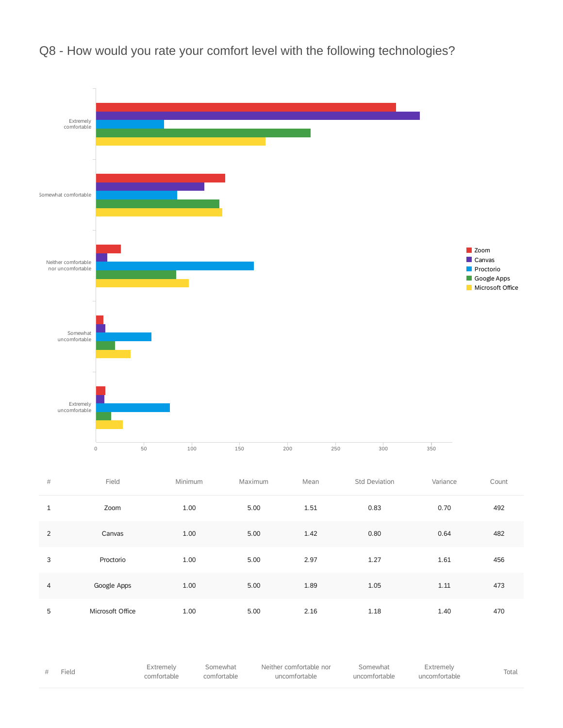Q8 - How would you rate your comfort level with the following technologies?



| Field | Extremely<br>comfortable | Somewhat<br>comfortable | Neither comfortable nor<br>uncomfortable | Somewhat<br>uncomfortable | Extremely<br>uncomfortable | Total |
|-------|--------------------------|-------------------------|------------------------------------------|---------------------------|----------------------------|-------|
|       |                          |                         |                                          |                           |                            |       |

5 Microsoft Office 1.00 5.00 2.16 1.18 1.40 470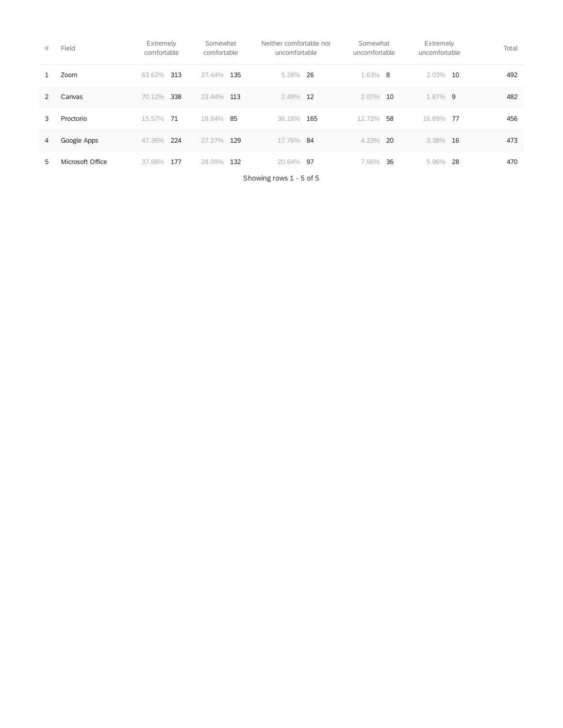| #             | Field            | Extremely<br>comfortable | Somewhat<br>comfortable | Neither comfortable nor<br>uncomfortable | Somewhat<br>uncomfortable | Extremely<br>uncomfortable | Total |
|---------------|------------------|--------------------------|-------------------------|------------------------------------------|---------------------------|----------------------------|-------|
|               | Zoom             | 313<br>63.62%            | 135<br>27.44%           | 5.28% 26                                 | $1.63\%$ 8                | $2.03\%$<br>10             | 492   |
| $\mathcal{P}$ | Canvas           | 338<br>70.12%            | 23.44%<br>113           | 2.49% 12                                 | 2.07%<br>10               | 1.87% 9                    | 482   |
| 3             | Proctorio        | 15.57% 71                | 18.64% 85               | 36.18%<br>165                            | 12.72%<br>58              | 16.89%<br>- 77             | 456   |
| 4             | Google Apps      | 224<br>47.36%            | 27.27%<br>129           | 17.76% 84                                | 4.23%<br>- 20             | $3.38\%$ 16                | 473   |
| 5.            | Microsoft Office | 177<br>37.66%            | 132<br>28.09%           | 20.64% 97                                | 36<br>7.66%               | -28<br>5.96%               | 470   |

Showing rows 1 - 5 of 5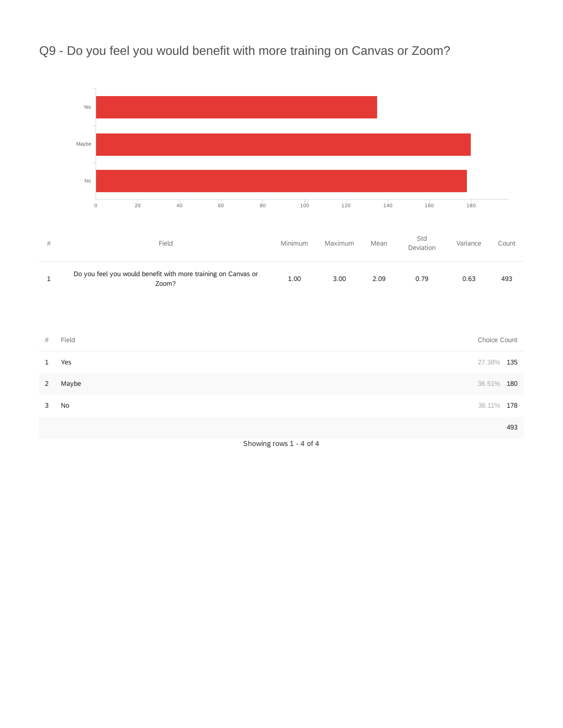

## Q9 - Do you feel you would benefit with more training on Canvas or Zoom?

Showing rows 1 - 4 of 4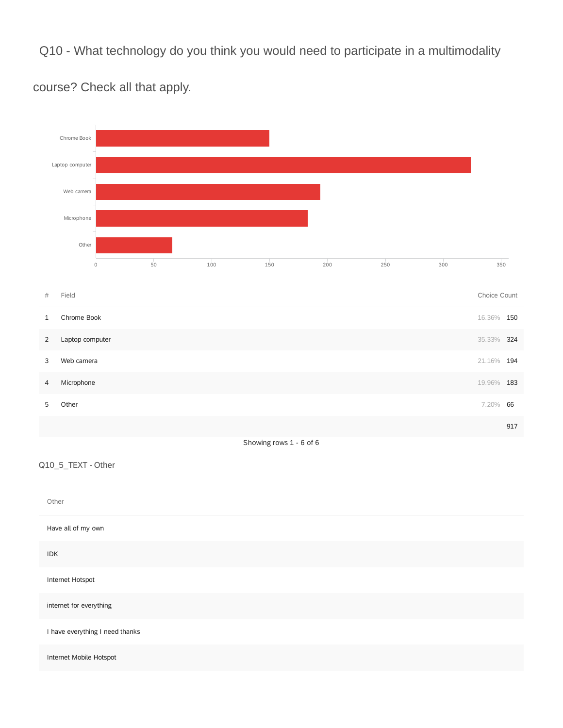Q10 - What technology do you think you would need to participate in a multimodality



course? Check all that apply.

Have all of my own

IDK

Internet Hotspot

internet for everything

I have everything I need thanks

Internet Mobile Hotspot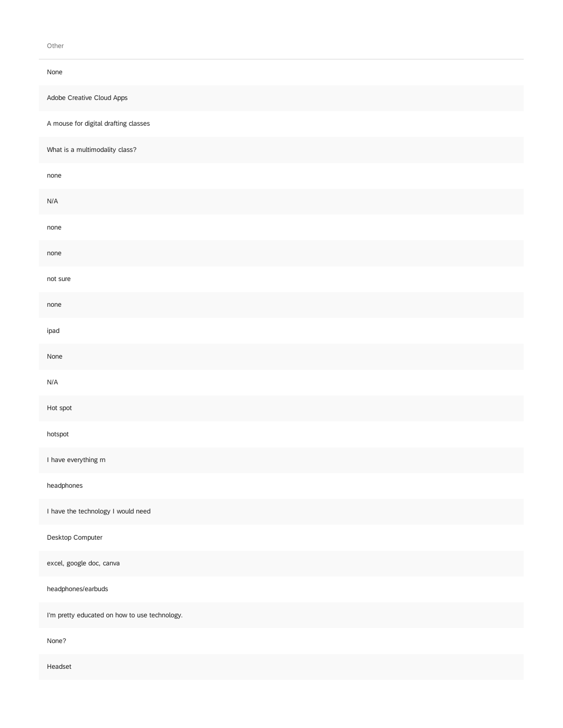Other

| None                                          |
|-----------------------------------------------|
| Adobe Creative Cloud Apps                     |
| A mouse for digital drafting classes          |
| What is a multimodality class?                |
| none                                          |
| N/A                                           |
| none                                          |
| none                                          |
| not sure                                      |
| none                                          |
| ipad                                          |
| None                                          |
| N/A                                           |
| Hot spot                                      |
| hotspot                                       |
| I have everything rn                          |
| headphones                                    |
| I have the technology I would need            |
| Desktop Computer                              |
| excel, google doc, canva                      |
| headphones/earbuds                            |
| I'm pretty educated on how to use technology. |
| None?                                         |
|                                               |

Headset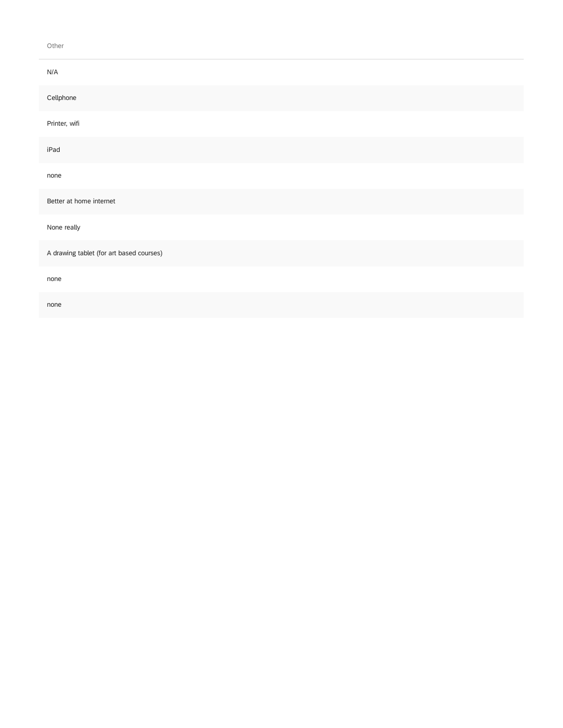#### Other

| $\mathsf{N}/\mathsf{A}$                  |
|------------------------------------------|
| Cellphone                                |
| Printer, wifi                            |
| iPad                                     |
| none                                     |
| Better at home internet                  |
| None really                              |
| A drawing tablet (for art based courses) |
| none                                     |
| none                                     |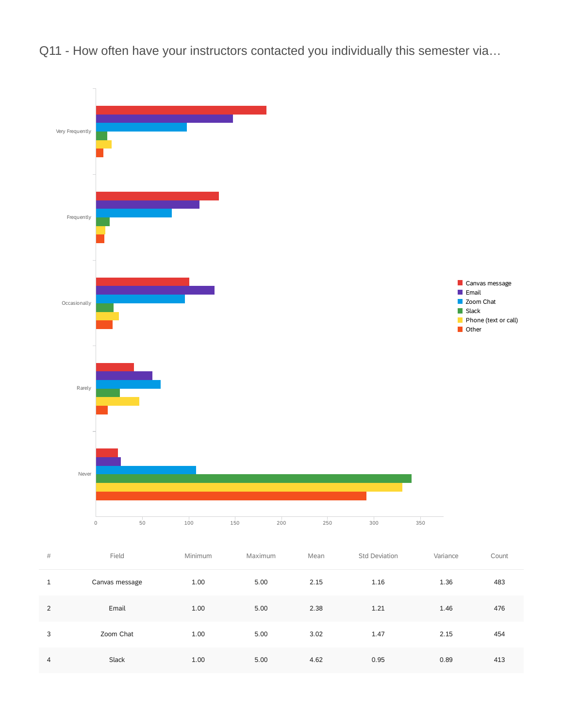Q11 - How often have your instructors contacted you individually this semester via...



| 1 | Canvas message | 1.00 | 5.00 | 2.15 | 1.16 | 1.36 | 483 |
|---|----------------|------|------|------|------|------|-----|
| 2 | Email          | 1.00 | 5.00 | 2.38 | 1.21 | 1.46 | 476 |
| 3 | Zoom Chat      | 1.00 | 5.00 | 3.02 | 1.47 | 2.15 | 454 |
| 4 | Slack          | 1.00 | 5.00 | 4.62 | 0.95 | 0.89 | 413 |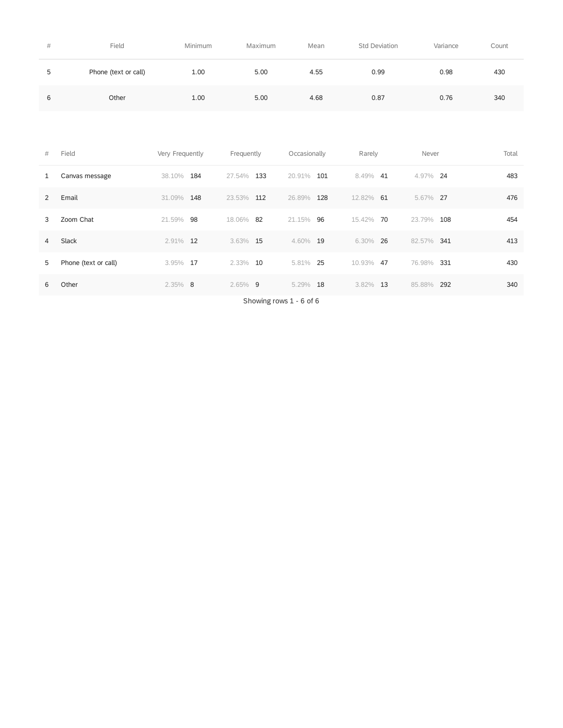| # | Field                | Minimum | Maximum | Mean | Std Deviation | Variance | Count |
|---|----------------------|---------|---------|------|---------------|----------|-------|
| 5 | Phone (text or call) | 1.00    | 5.00    | 4.55 | 0.99          | 0.98     | 430   |
| 6 | Other                | 1.00    | 5.00    | 4.68 | 0.87          | 0.76     | 340   |

| #              | Field                | Very Frequently | Frequently    | Occasionally  | Rarely        | Never          | Total |
|----------------|----------------------|-----------------|---------------|---------------|---------------|----------------|-------|
|                | Canvas message       | 38.10%<br>184   | 27.54%<br>133 | 20.91%<br>101 | 8.49%<br>-41  | 4.97% 24       | 483   |
| 2              | Email                | 31.09%<br>148   | 23.53%<br>112 | 26.89%<br>128 | 12.82%<br>-61 | 5.67% 27       | 476   |
| 3              | Zoom Chat            | 21.59%<br>98    | 18.06%<br>-82 | 21.15%<br>96  | 15.42%<br>70  | 23.79%<br>108  | 454   |
| $\overline{4}$ | Slack                | 2.91%<br>12     | 3.63% 15      | 4.60%<br>19   | 6.30%<br>-26  | 82.57% 341     | 413   |
| 5              | Phone (text or call) | 3.95%<br>17     | 2.33% 10      | 25<br>5.81%   | 10.93%<br>47  | 76.98%<br>-331 | 430   |
| 6              | Other                | $2.35\%$<br>- 8 | $2.65\%$ 9    | 18<br>5.29%   | 13<br>3.82%   | 85.88%<br>292  | 340   |

Showing rows 1 - 6 of 6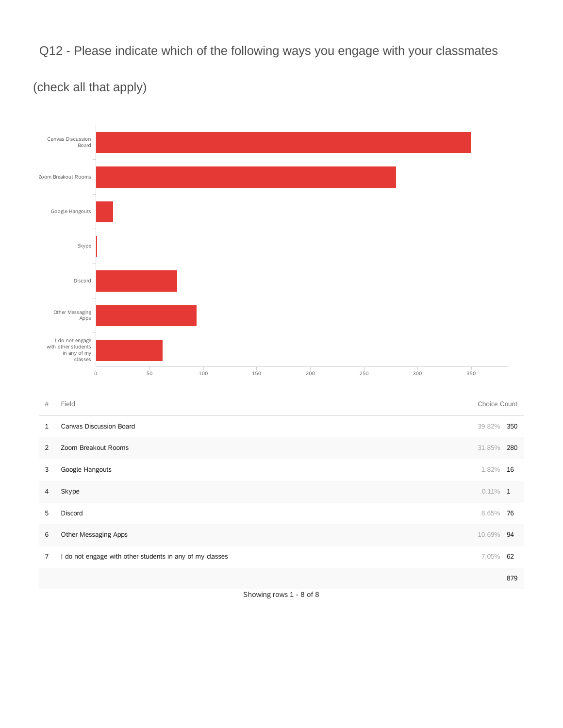Q12 - Please indicate which of the following ways you engage with your classmates



(check all that apply)

Showing rows 1 - 8 of 8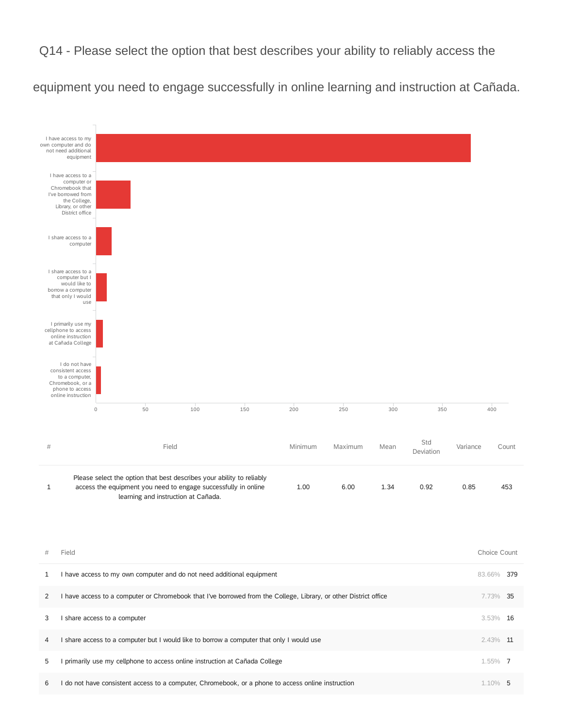Q14 - Please select the option that best describes your ability to reliably access the

equipment you need to engage successfully in online learning and instruction at Cañada.



6 I do not have consistent access to a computer, Chromebook, or a phone to access online instruction 1.10% 5 1.10% 5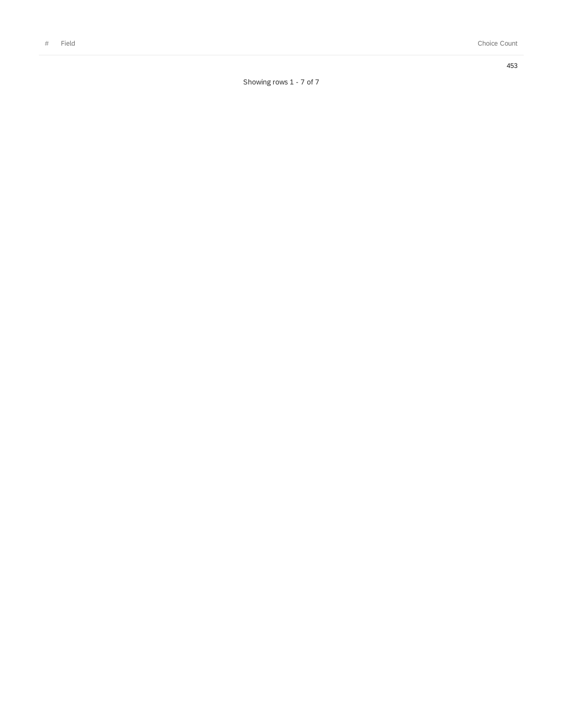4 5 3

Showing rows 1 - 7 of 7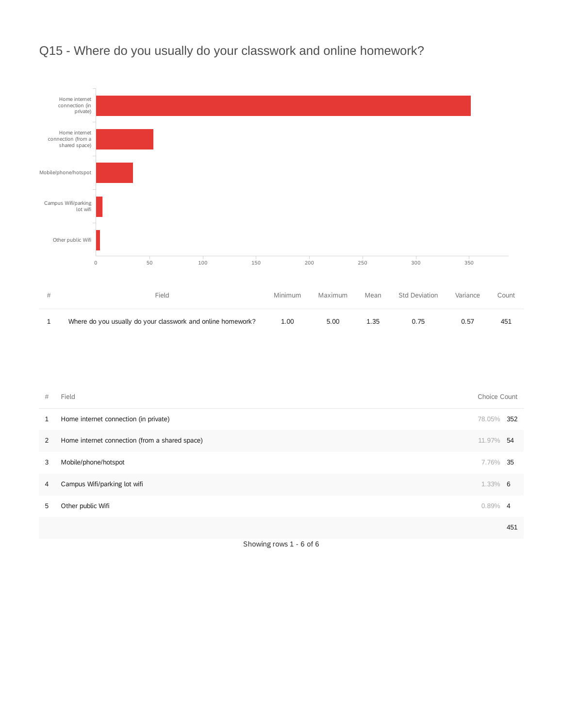

Q15 - Where do you usually do your classwork and online homework?

| # | Field                                          | Choice Count |     |
|---|------------------------------------------------|--------------|-----|
| 1 | Home internet connection (in private)          | 78.05%       | 352 |
| 2 | Home internet connection (from a shared space) | 11.97%       | 54  |
| 3 | Mobile/phone/hotspot                           | 7.76% 35     |     |
| 4 | Campus Wifi/parking lot wifi                   | $1.33\%$ 6   |     |
| 5 | Other public Wifi                              | $0.89\%$ 4   |     |
|   |                                                |              | 451 |
|   |                                                |              |     |

Showing rows 1 - 6 of 6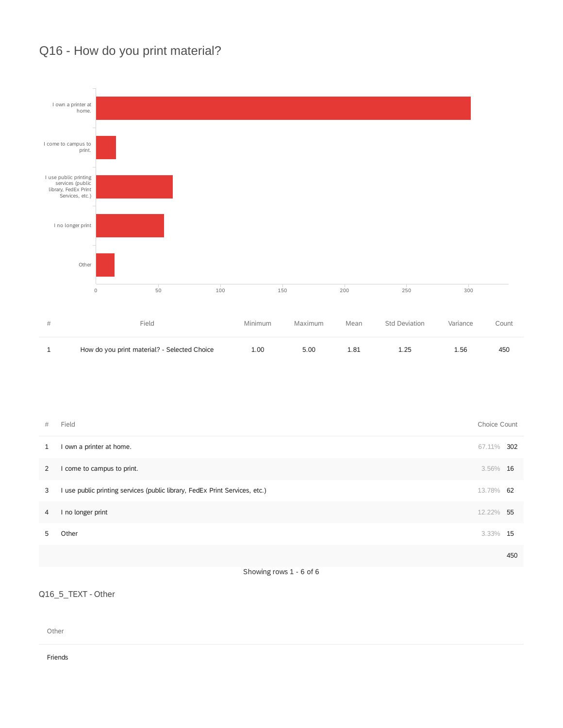## Q16 - How do you print material?



| How do you print material? - Selected Choice | 1.00 5.00 1.81 1.25 |  | 1.56 | 450 |
|----------------------------------------------|---------------------|--|------|-----|
|                                              |                     |  |      |     |

| #              | Field                                                                                                                                                                                                                           | Choice Count |     |
|----------------|---------------------------------------------------------------------------------------------------------------------------------------------------------------------------------------------------------------------------------|--------------|-----|
| 1              | I own a printer at home.                                                                                                                                                                                                        | 67.11%       | 302 |
| $\overline{2}$ | I come to campus to print.                                                                                                                                                                                                      | 3.56% 16     |     |
| 3              | I use public printing services (public library, FedEx Print Services, etc.)                                                                                                                                                     | 13.78% 62    |     |
| 4              | I no longer print                                                                                                                                                                                                               | 12.22% 55    |     |
| 5.             | Other                                                                                                                                                                                                                           | 3.33%        | 15  |
|                |                                                                                                                                                                                                                                 |              | 450 |
|                | $\sim$ . The contract of the contract of the contract of the contract of the contract of the contract of the contract of the contract of the contract of the contract of the contract of the contract of the contract of the co |              |     |

Showing rows 1 - 6 of 6

### Q16\_5\_TEXT - Other

Other

Friends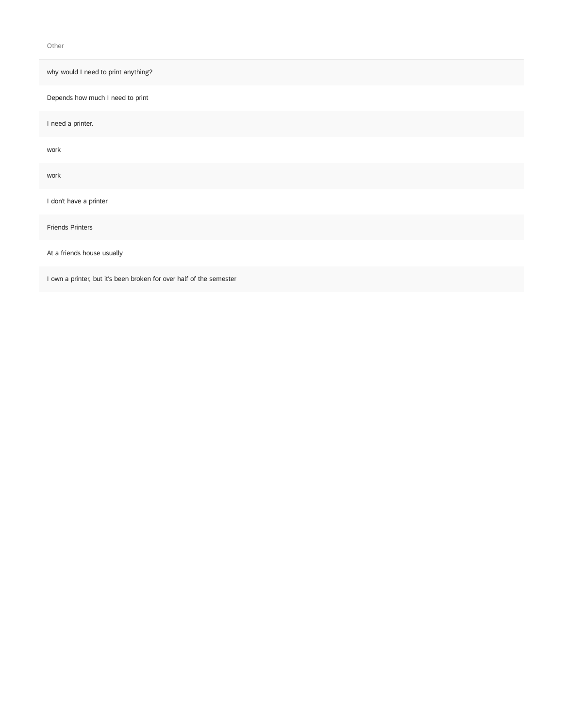Other

why would I need to print anything?

Depends how much I need to print

I need a printer.

work

work

I don't have a printer

Friends Printers

At a friends house usually

I own a printer, but it's been broken for over half of the semester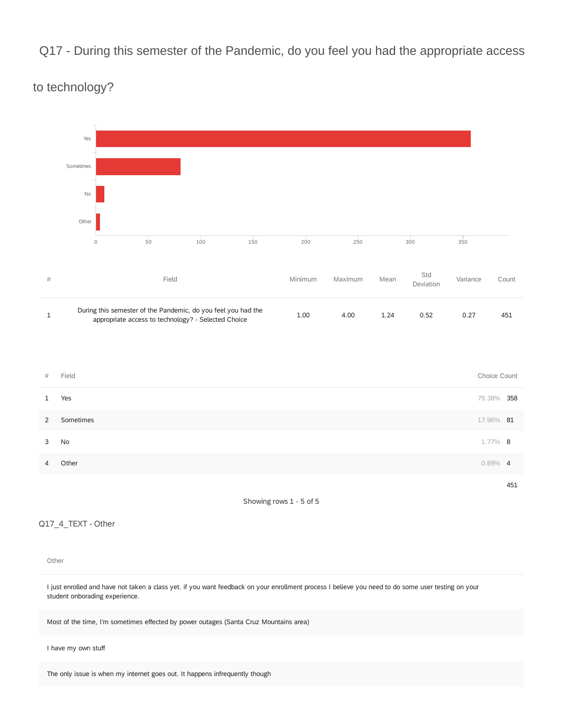## Q17 - During this semester of the Pandemic, do you feel you had the appropriate access



to technology?

Showing rows 1 - 5 of 5

#### Q17\_4\_TEXT - Other

#### Other

I just enrolled and have not taken a class yet. if you want feedback on your enrollment process I believe you need to do some user testing on your student onborading experience.

Most of the time, I'm sometimes effected by power outages (Santa Cruz Mountains area)

#### I have my own stuff

The only issue is when my internet goes out. It happens infrequently though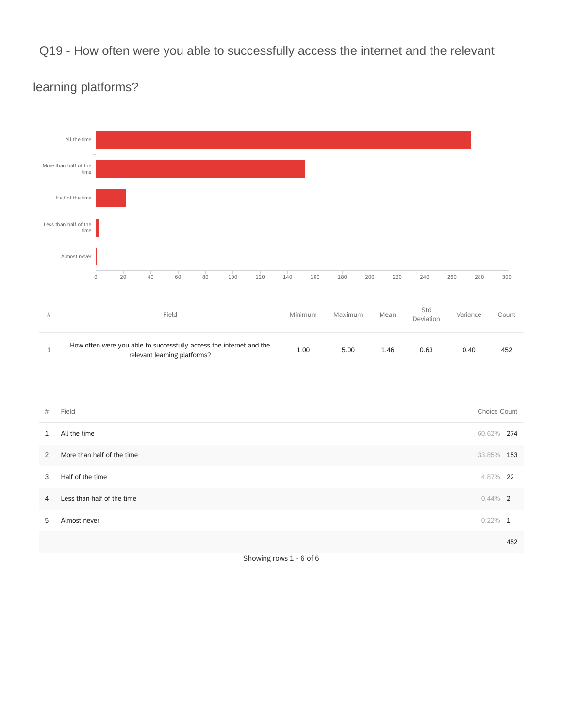## Q19 - How often were you able to successfully access the internet and the relevant



## learning platforms?

| #              | Field                      | Choice Count |     |
|----------------|----------------------------|--------------|-----|
| $\mathbf{1}$   | All the time               | 60.62% 274   |     |
| 2              | More than half of the time | 33.85% 153   |     |
| 3              | Half of the time           | 4.87% 22     |     |
| $\overline{4}$ | Less than half of the time | $0.44\%$ 2   |     |
| 5              | Almost never               | $0.22\%$ 1   |     |
|                |                            |              | 452 |

Showing rows 1 - 6 of 6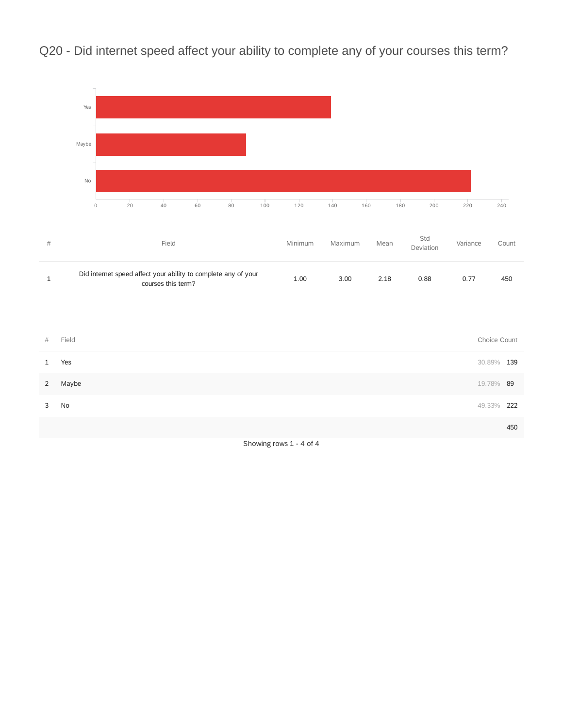Q20 - Did internet speed affect your ability to complete any of your courses this term?



Showing rows 1 - 4 of 4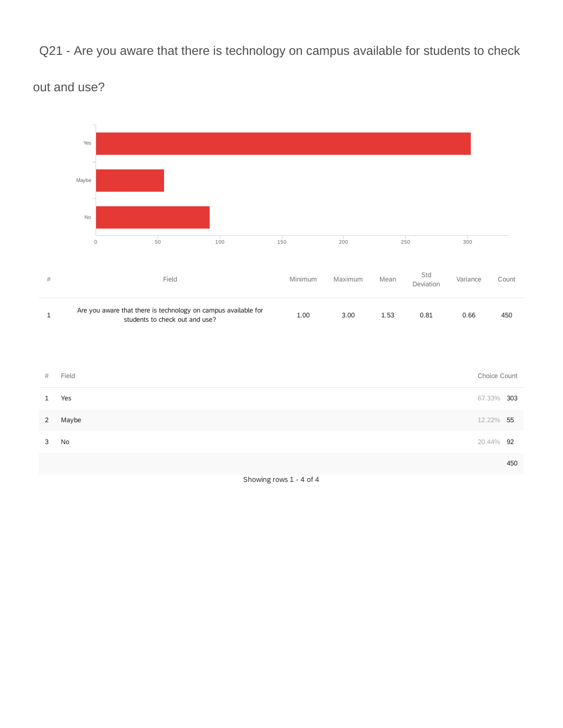Q21 - Are you aware that there is technology on campus available for students to check



## out and use?

Showing rows 1 - 4 of 4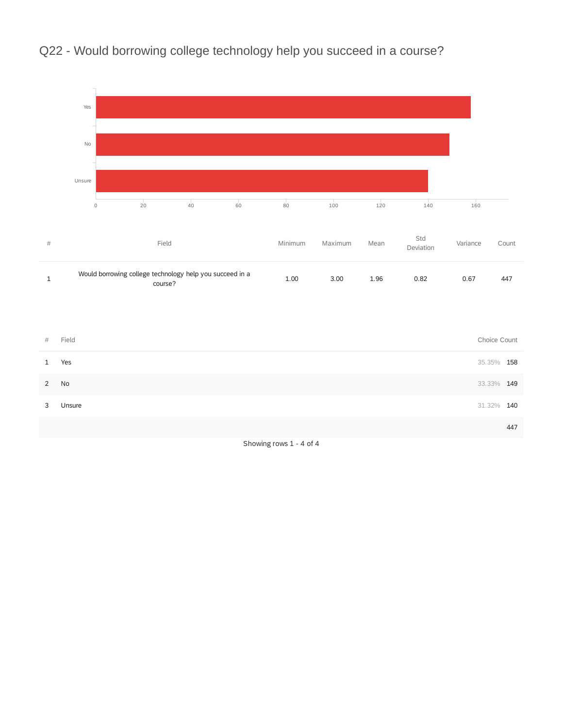

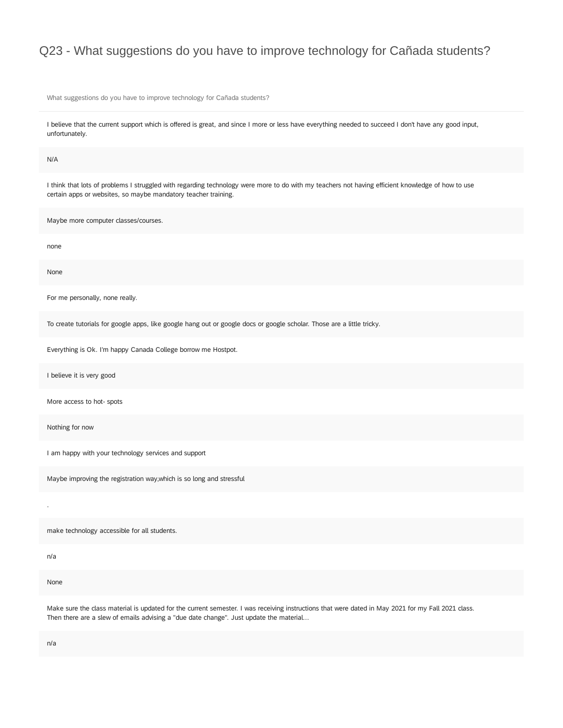## Q23 - What suggestions do you have to improve technology for Cañada students?

What suggestions do you have to improve technology for Cañada students?

I believe that the current support which is offered is great, and since I more or less have everything needed to succeed I don't have any good input, unfortunately.

N/A

I think that lots of problems I struggled with regarding technology were more to do with my teachers not having efficient knowledge of how to use certain apps or websites, so maybe mandatory teacher training.

Maybe more computer classes/courses.

none

None

For me personally, none really.

To create tutorials for google apps, like google hang out or google docs or google scholar. Those are a little tricky.

Everything is Ok. I'm happy Canada College borrow me Hostpot.

I believe it is very good

More access to hot- spots

Nothing for now

I am happy with your technology services and support

Maybe improving the registration way,which is so long and stressful

make technology accessible for all students.

n/a

.

None

Make sure the class material is updated for the current semester. I was receiving instructions that were dated in May 2021 for my Fall 2021 class. Then there are a slew of emails advising a "due date change". Just update the material...

n/a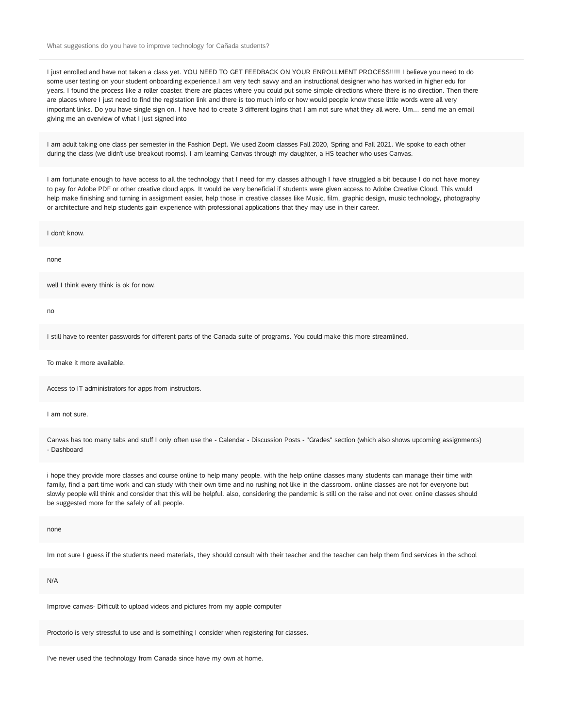I just enrolled and have not taken a class yet. YOU NEED TO GET FEEDBACK ON YOUR ENROLLMENT PROCESS!!!!! I believe you need to do some user testing on your student onboarding experience.I am very tech savvy and an instructional designer who has worked in higher edu for years. I found the process like a roller coaster. there are places where you could put some simple directions where there is no direction. Then there are places where I just need to find the registation link and there is too much info or how would people know those little words were all very important links. Do you have single sign on. I have had to create 3 different logins that I am not sure what they all were. Um... send me an email giving me an overview of what I just signed into

I am adult taking one class per semester in the Fashion Dept. We used Zoom classes Fall 2020, Spring and Fall 2021. We spoke to each other during the class (we didn't use breakout rooms). I am learning Canvas through my daughter, a HS teacher who uses Canvas.

I am fortunate enough to have access to all the technology that I need for my classes although I have struggled a bit because I do not have money to pay for Adobe PDF or other creative cloud apps. It would be very beneficial if students were given access to Adobe Creative Cloud. This would help make finishing and turning in assignment easier, help those in creative classes like Music, film, graphic design, music technology, photography or architecture and help students gain experience with professional applications that they may use in their career.

I don't know.

none

well I think every think is ok for now.

no

I still have to reenter passwords for different parts of the Canada suite of programs. You could make this more streamlined.

To make it more available.

Access to IT administrators for apps from instructors.

I am not sure.

Canvas has too many tabs and stuff I only often use the - Calendar - Discussion Posts - "Grades" section (which also shows upcoming assignments) - Dashboard

i hope they provide more classes and course online to help many people. with the help online classes many students can manage their time with family, find a part time work and can study with their own time and no rushing not like in the classroom. online classes are not for everyone but slowly people will think and consider that this will be helpful. also, considering the pandemic is still on the raise and not over. online classes should be suggested more for the safely of all people.

none

Im not sure I guess if the students need materials, they should consult with their teacher and the teacher can help them find services in the school

N/A

Improve canvas- Difficult to upload videos and pictures from my apple computer

Proctorio is very stressful to use and is something I consider when registering for classes.

I've never used the technology from Canada since have my own at home.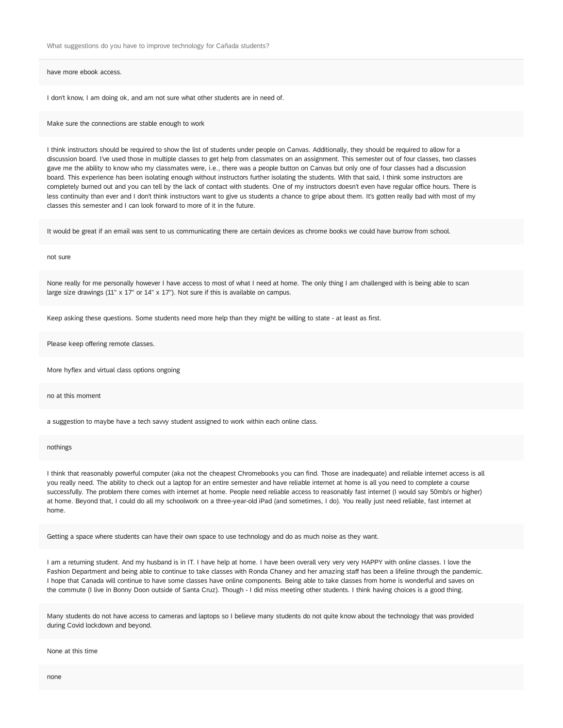have more ebook access.

I don't know, I am doing ok, and am not sure what other students are in need of.

Make sure the connections are stable enough to work

I think instructors should be required to show the list of students under people on Canvas. Additionally, they should be required to allow for a discussion board. I've used those in multiple classes to get help from classmates on an assignment. This semester out of four classes, two classes gave me the ability to know who my classmates were, i.e., there was a people button on Canvas but only one of four classes had a discussion board. This experience has been isolating enough without instructors further isolating the students. With that said, I think some instructors are completely burned out and you can tell by the lack of contact with students. One of my instructors doesn't even have regular office hours. There is less continuity than ever and I don't think instructors want to give us students a chance to gripe about them. It's gotten really bad with most of my classes this semester and I can look forward to more of it in the future.

It would be great if an email was sent to us communicating there are certain devices as chrome books we could have burrow from school.

#### not sure

None really for me personally however I have access to most of what I need at home. The only thing I am challenged with is being able to scan large size drawings (11" x 17" or 14" x 17"). Not sure if this is available on campus.

Keep asking these questions. Some students need more help than they might be willing to state - at least as first.

Please keep offering remote classes.

More hyflex and virtual class options ongoing

no at this moment

a suggestion to maybe have a tech savvy student assigned to work within each online class.

#### nothings

I think that reasonably powerful computer (aka not the cheapest Chromebooks you can find. Those are inadequate) and reliable internet access is all you really need. The ability to check out a laptop for an entire semester and have reliable internet at home is all you need to complete a course successfully. The problem there comes with internet at home. People need reliable access to reasonably fast internet (I would say 50mb/s or higher) at home. Beyond that, I could do all my schoolwork on a three-year-old iPad (and sometimes, I do). You really just need reliable, fast internet at home.

Getting a space where students can have their own space to use technology and do as much noise as they want.

I am a returning student. And my husband is in IT. I have help at home. I have been overall very very very HAPPY with online classes. I love the Fashion Department and being able to continue to take classes with Ronda Chaney and her amazing staff has been a lifeline through the pandemic. I hope that Canada will continue to have some classes have online components. Being able to take classes from home is wonderful and saves on the commute (I live in Bonny Doon outside of Santa Cruz). Though - I did miss meeting other students. I think having choices is a good thing.

Many students do not have access to cameras and laptops so I believe many students do not quite know about the technology that was provided during Covid lockdown and beyond.

None at this time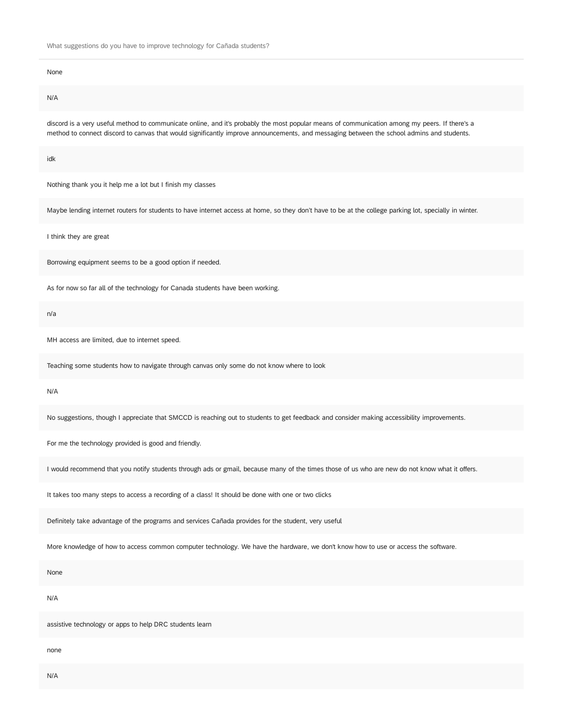# None N/A

discord is a very useful method to communicate online, and it's probably the most popular means of communication among my peers. If there's a method to connect discord to canvas that would significantly improve announcements, and messaging between the school admins and students.

idk

Nothing thank you it help me a lot but I finish my classes

Maybe lending internet routers for students to have internet access at home, so they don't have to be at the college parking lot, specially in winter.

I think they are great

Borrowing equipment seems to be a good option if needed.

As for now so far all of the technology for Canada students have been working.

n/a

MH access are limited, due to internet speed.

Teaching some students how to navigate through canvas only some do not know where to look

N/A

No suggestions, though I appreciate that SMCCD is reaching out to students to get feedback and consider making accessibility improvements.

For me the technology provided is good and friendly.

I would recommend that you notify students through ads or gmail, because many of the times those of us who are new do not know what it offers.

It takes too many steps to access a recording of a class! It should be done with one or two clicks

Definitely take advantage of the programs and services Cañada provides for the student, very useful

More knowledge of how to access common computer technology. We have the hardware, we don't know how to use or access the software.

None

N/A

assistive technology or apps to help DRC students learn

none

N/A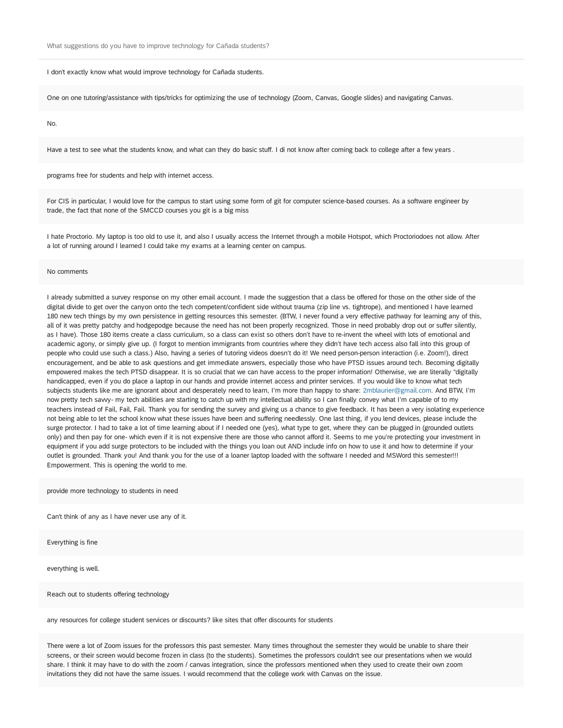#### I don't exactly know what would improve technology for Cañada students.

One on one tutoring/assistance with tips/tricks for optimizing the use of technology (Zoom, Canvas, Google slides) and navigating Canvas.

No.

Have a test to see what the students know, and what can they do basic stuff. I di not know after coming back to college after a few years .

programs free for students and help with internet access.

For CIS in particular, I would love for the campus to start using some form of git for computer science-based courses. As a software engineer by trade, the fact that none of the SMCCD courses you git is a big miss

I hate Proctorio. My laptop is too old to use it, and also I usually access the Internet through a mobile Hotspot, which Proctoriodoes not allow. After a lot of running around I learned I could take my exams at a learning center on campus.

#### No comments

I already submitted a survey response on my other email account. I made the suggestion that a class be offered for those on the other side of the digital divide to get over the canyon onto the tech competent/confident side without trauma (zip line vs. tightrope), and mentioned I have learned 180 new tech things by my own persistence in getting resources this semester. (BTW, I never found a very effective pathway for learning any of this, all of it was pretty patchy and hodgepodge because the need has not been properly recognized. Those in need probably drop out or suffer silently, as I have). Those 180 items create a class curriculum, so a class can exist so others don't have to re-invent the wheel with lots of emotional and academic agony, or simply give up. (I forgot to mention immigrants from countries where they didn't have tech access also fall into this group of people who could use such a class.) Also, having a series of tutoring videos doesn't do it! We need person-person interaction (i.e. Zoom!), direct encouragement, and be able to ask questions and get immediate answers, especially those who have PTSD issues around tech. Becoming digitally empowered makes the tech PTSD disappear. It is so crucial that we can have access to the proper information! Otherwise, we are literally "digitally handicapped, even if you do place a laptop in our hands and provide internet access and printer services. If you would like to know what tech subjects students like me are ignorant about and desperately need to learn, I'm more than happy to share: 2mblaurier@gmail.com. And BTW, I'm now pretty tech savvy- my tech abilities are starting to catch up with my intellectual ability so I can finally convey what I'm capable of to my teachers instead of Fail, Fail, Fail. Thank you for sending the survey and giving us a chance to give feedback. It has been a very isolating experience not being able to let the school know what these issues have been and suffering needlessly. One last thing, if you lend devices, please include the surge protector. I had to take a lot of time learning about if I needed one (yes), what type to get, where they can be plugged in (grounded outlets only) and then pay for one- which even if it is not expensive there are those who cannot afford it. Seems to me you're protecting your investment in equipment if you add surge protectors to be included with the things you loan out AND include info on how to use it and how to determine if your outlet is grounded. Thank you! And thank you for the use of a loaner laptop loaded with the software I needed and MSWord this semester!!! Empowerment. This is opening the world to me.

#### provide more technology to students in need

Can't think of any as I have never use any of it.

Everything is fine

everything is well.

Reach out to students offering technology

any resources for college student services or discounts? like sites that offer discounts for students

There were a lot of Zoom issues for the professors this past semester. Many times throughout the semester they would be unable to share their screens, or their screen would become frozen in class (to the students). Sometimes the professors couldn't see our presentations when we would share. I think it may have to do with the zoom / canvas integration, since the professors mentioned when they used to create their own zoom invitations they did not have the same issues. I would recommend that the college work with Canvas on the issue.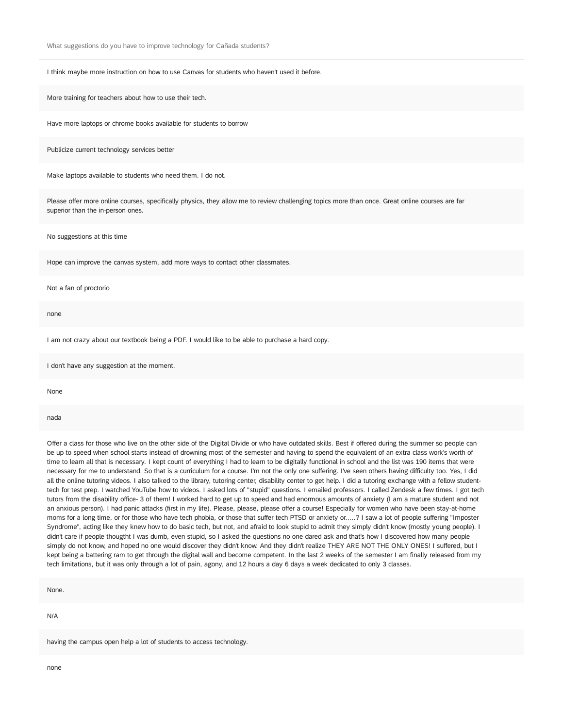I think maybe more instruction on how to use Canvas for students who haven't used it before.

More training for teachers about how to use their tech.

Have more laptops or chrome books available for students to borrow

Publicize current technology services better

Make laptops available to students who need them. I do not.

Please offer more online courses, specifically physics, they allow me to review challenging topics more than once. Great online courses are far superior than the in-person ones.

No suggestions at this time

Hope can improve the canvas system, add more ways to contact other classmates.

#### Not a fan of proctorio

none

I am not crazy about our textbook being a PDF. I would like to be able to purchase a hard copy.

I don't have any suggestion at the moment.

None

nada

Offer a class for those who live on the other side of the Digital Divide or who have outdated skills. Best if offered during the summer so people can be up to speed when school starts instead of drowning most of the semester and having to spend the equivalent of an extra class work's worth of time to learn all that is necessary. I kept count of everything I had to learn to be digitally functional in school and the list was 190 items that were necessary for me to understand. So that is a curriculum for a course. I'm not the only one suffering. I've seen others having difficulty too. Yes, I did all the online tutoring videos. I also talked to the library, tutoring center, disability center to get help. I did a tutoring exchange with a fellow studenttech for test prep. I watched YouTube how to videos. I asked lots of "stupid" questions. I emailed professors. I called Zendesk a few times. I got tech tutors from the disability office- 3 of them! I worked hard to get up to speed and had enormous amounts of anxiety (I am a mature student and not an anxious person). I had panic attacks (first in my life). Please, please, please offer a course! Especially for women who have been stay-at-home moms for a long time, or for those who have tech phobia, or those that suffer tech PTSD or anxiety or.....? I saw a lot of people suffering "Imposter Syndrome", acting like they knew how to do basic tech, but not, and afraid to look stupid to admit they simply didn't know (mostly young people). I didn't care if people thougtht I was dumb, even stupid, so I asked the questions no one dared ask and that's how I discovered how many people simply do not know, and hoped no one would discover they didn't know. And they didn't realize THEY ARE NOT THE ONLY ONES! I suffered, but I kept being a battering ram to get through the digital wall and become competent. In the last 2 weeks of the semester I am finally released from my tech limitations, but it was only through a lot of pain, agony, and 12 hours a day 6 days a week dedicated to only 3 classes.

None.

N/A

having the campus open help a lot of students to access technology.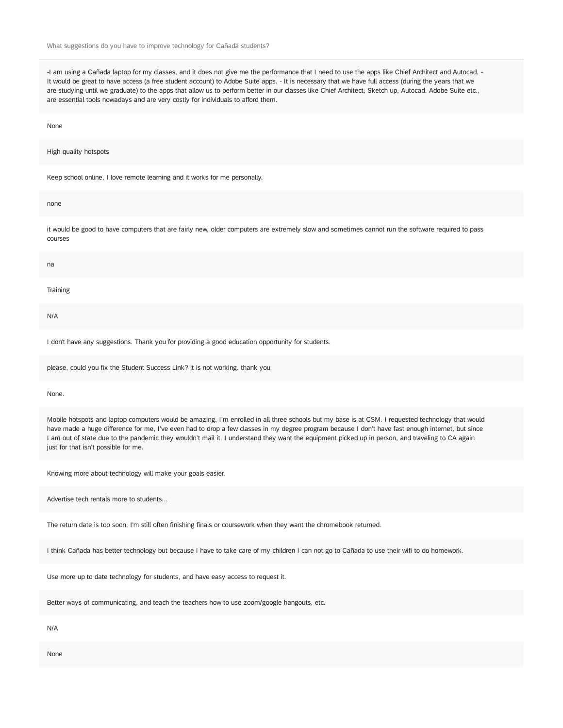-I am using a Cañada laptop for my classes, and it does not give me the performance that I need to use the apps like Chief Architect and Autocad. -It would be great to have access (a free student account) to Adobe Suite apps. - It is necessary that we have full access (during the years that we are studying until we graduate) to the apps that allow us to perform better in our classes like Chief Architect, Sketch up, Autocad. Adobe Suite etc., are essential tools nowadays and are very costly for individuals to afford them.

None

#### High quality hotspots

Keep school online, I love remote learning and it works for me personally.

none

it would be good to have computers that are fairly new, older computers are extremely slow and sometimes cannot run the software required to pass courses

| na       |  |  |  |
|----------|--|--|--|
| Training |  |  |  |
| N/A      |  |  |  |
|          |  |  |  |

I don't have any suggestions. Thank you for providing a good education opportunity for students.

please, could you fix the Student Success Link? it is not working. thank you

None.

Mobile hotspots and laptop computers would be amazing. I'm enrolled in all three schools but my base is at CSM. I requested technology that would have made a huge difference for me, I've even had to drop a few classes in my degree program because I don't have fast enough internet, but since I am out of state due to the pandemic they wouldn't mail it. I understand they want the equipment picked up in person, and traveling to CA again just for that isn't possible for me.

Knowing more about technology will make your goals easier.

Advertise tech rentals more to students...

The return date is too soon, I'm still often finishing finals or coursework when they want the chromebook returned.

I think Cañada has better technology but because I have to take care of my children I can not go to Cañada to use their wifi to do homework.

Use more up to date technology for students, and have easy access to request it.

Better ways of communicating, and teach the teachers how to use zoom/google hangouts, etc.

N/A

None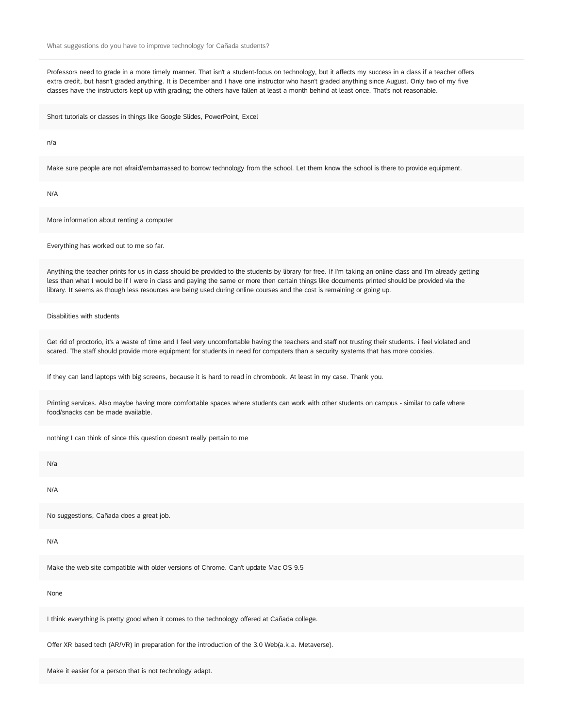Professors need to grade in a more timely manner. That isn't a student-focus on technology, but it affects my success in a class if a teacher offers extra credit, but hasn't graded anything. It is December and I have one instructor who hasn't graded anything since August. Only two of my five classes have the instructors kept up with grading; the others have fallen at least a month behind at least once. That's not reasonable.

Short tutorials or classes in things like Google Slides, PowerPoint, Excel

n/a

Make sure people are not afraid/embarrassed to borrow technology from the school. Let them know the school is there to provide equipment.

N/A

More information about renting a computer

Everything has worked out to me so far.

Anything the teacher prints for us in class should be provided to the students by library for free. If I'm taking an online class and I'm already getting less than what I would be if I were in class and paying the same or more then certain things like documents printed should be provided via the library. It seems as though less resources are being used during online courses and the cost is remaining or going up.

Disabilities with students

Get rid of proctorio, it's a waste of time and I feel very uncomfortable having the teachers and staff not trusting their students. i feel violated and scared. The staff should provide more equipment for students in need for computers than a security systems that has more cookies.

If they can land laptops with big screens, because it is hard to read in chrombook. At least in my case. Thank you.

Printing services. Also maybe having more comfortable spaces where students can work with other students on campus - similar to cafe where food/snacks can be made available.

nothing I can think of since this question doesn't really pertain to me

N/a

N/A

No suggestions, Cañada does a great job.

N/A

Make the web site compatible with older versions of Chrome. Can't update Mac OS 9.5

#### None

I think everything is pretty good when it comes to the technology offered at Cañada college.

Offer XR based tech (AR/VR) in preparation for the introduction of the 3.0 Web(a.k.a. Metaverse).

Make it easier for a person that is not technology adapt.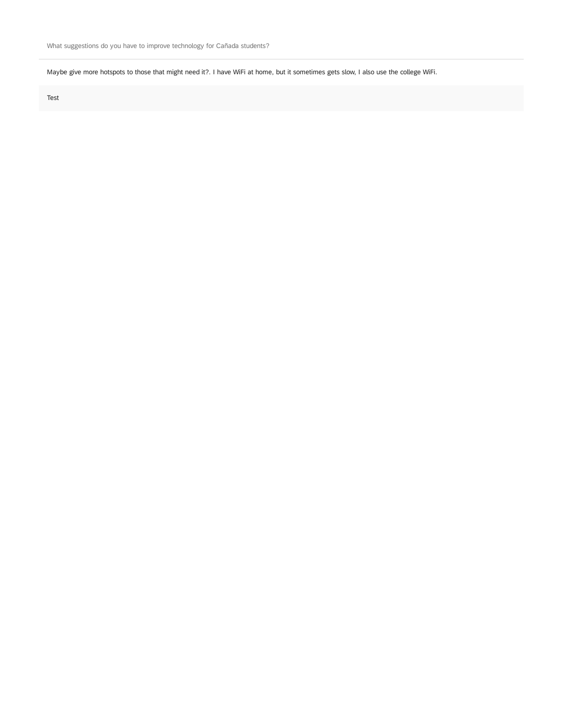Maybe give more hotspots to those that might need it?. I have WiFi at home, but it sometimes gets slow, I also use the college WiFi.

Test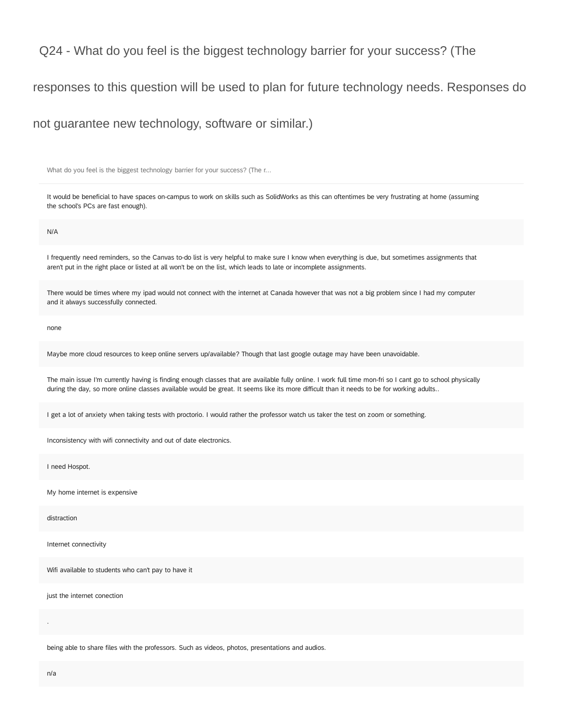responses to this question will be used to plan for future technology needs. Responses do

not guarantee new technology, software or similar.)

What do you feel is the biggest technology barrier for your success? (The r...

It would be beneficial to have spaces on-campus to work on skills such as SolidWorks as this can oftentimes be very frustrating at home (assuming the school's PCs are fast enough).

N/A

I frequently need reminders, so the Canvas to-do list is very helpful to make sure I know when everything is due, but sometimes assignments that aren't put in the right place or listed at all won't be on the list, which leads to late or incomplete assignments.

There would be times where my ipad would not connect with the internet at Canada however that was not a big problem since I had my computer and it always successfully connected.

none

Maybe more cloud resources to keep online servers up/available? Though that last google outage may have been unavoidable.

The main issue I'm currently having is finding enough classes that are available fully online. I work full time mon-fri so I cant go to school physically during the day, so more online classes available would be great. It seems like its more difficult than it needs to be for working adults..

I get a lot of anxiety when taking tests with proctorio. I would rather the professor watch us taker the test on zoom or something.

Inconsistency with wifi connectivity and out of date electronics.

I need Hospot.

My home internet is expensive

distraction

Internet connectivity

Wifi available to students who can't pay to have it

just the internet conection

being able to share files with the professors. Such as videos, photos, presentations and audios.

.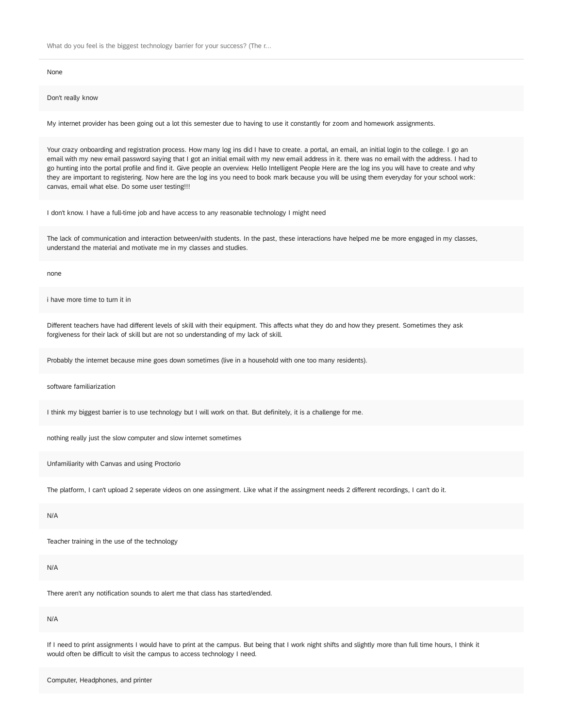None

Don't really know

My internet provider has been going out a lot this semester due to having to use it constantly for zoom and homework assignments.

Your crazy onboarding and registration process. How many log ins did I have to create. a portal, an email, an initial login to the college. I go an email with my new email password saying that I got an initial email with my new email address in it. there was no email with the address. I had to go hunting into the portal profile and find it. Give people an overview. Hello Intelligent People Here are the log ins you will have to create and why they are important to registering. Now here are the log ins you need to book mark because you will be using them everyday for your school work: canvas, email what else. Do some user testing!!!

I don't know. I have a full-time job and have access to any reasonable technology I might need

The lack of communication and interaction between/with students. In the past, these interactions have helped me be more engaged in my classes, understand the material and motivate me in my classes and studies.

none

i have more time to turn it in

Different teachers have had different levels of skill with their equipment. This affects what they do and how they present. Sometimes they ask forgiveness for their lack of skill but are not so understanding of my lack of skill.

Probably the internet because mine goes down sometimes (live in a household with one too many residents).

software familiarization

I think my biggest barrier is to use technology but I will work on that. But definitely, it is a challenge for me.

nothing really just the slow computer and slow internet sometimes

Unfamiliarity with Canvas and using Proctorio

The platform, I can't upload 2 seperate videos on one assingment. Like what if the assingment needs 2 different recordings, I can't do it.

N/A

Teacher training in the use of the technology

N/A

There aren't any notification sounds to alert me that class has started/ended.

N/A

If I need to print assignments I would have to print at the campus. But being that I work night shifts and slightly more than full time hours, I think it would often be difficult to visit the campus to access technology I need.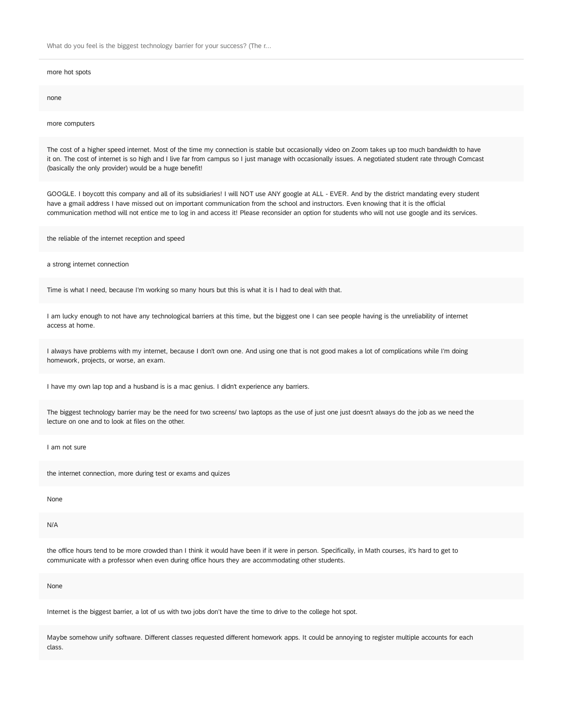more hot spots

none

more computers

The cost of a higher speed internet. Most of the time my connection is stable but occasionally video on Zoom takes up too much bandwidth to have it on. The cost of internet is so high and I live far from campus so I just manage with occasionally issues. A negotiated student rate through Comcast (basically the only provider) would be a huge benefit!

GOOGLE. I boycott this company and all of its subsidiaries! I will NOT use ANY google at ALL - EVER. And by the district mandating every student have a gmail address I have missed out on important communication from the school and instructors. Even knowing that it is the official communication method will not entice me to log in and access it! Please reconsider an option for students who will not use google and its services.

the reliable of the internet reception and speed

a strong internet connection

Time is what I need, because I'm working so many hours but this is what it is I had to deal with that.

I am lucky enough to not have any technological barriers at this time, but the biggest one I can see people having is the unreliability of internet access at home.

I always have problems with my internet, because I don't own one. And using one that is not good makes a lot of complications while I'm doing homework, projects, or worse, an exam.

I have my own lap top and a husband is is a mac genius. I didn't experience any barriers.

The biggest technology barrier may be the need for two screens/ two laptops as the use of just one just doesn't always do the job as we need the lecture on one and to look at files on the other.

I am not sure

the internet connection, more during test or exams and quizes

None

N/A

the office hours tend to be more crowded than I think it would have been if it were in person. Specifically, in Math courses, it's hard to get to communicate with a professor when even during office hours they are accommodating other students.

None

Internet is the biggest barrier, a lot of us with two jobs don't have the time to drive to the college hot spot.

Maybe somehow unify software. Different classes requested different homework apps. It could be annoying to register multiple accounts for each class.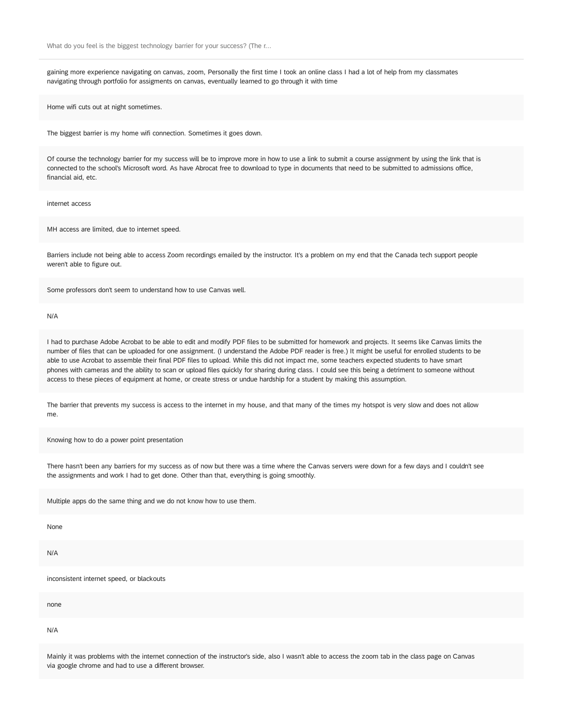gaining more experience navigating on canvas, zoom, Personally the first time I took an online class I had a lot of help from my classmates navigating through portfolio for assigments on canvas, eventually learned to go through it with time

Home wifi cuts out at night sometimes.

The biggest barrier is my home wifi connection. Sometimes it goes down.

Of course the technology barrier for my success will be to improve more in how to use a link to submit a course assignment by using the link that is connected to the school's Microsoft word. As have Abrocat free to download to type in documents that need to be submitted to admissions office, financial aid, etc.

internet access

MH access are limited, due to internet speed.

Barriers include not being able to access Zoom recordings emailed by the instructor. It's a problem on my end that the Canada tech support people weren't able to figure out.

Some professors don't seem to understand how to use Canvas well.

N/A

I had to purchase Adobe Acrobat to be able to edit and modify PDF files to be submitted for homework and projects. It seems like Canvas limits the number of files that can be uploaded for one assignment. (I understand the Adobe PDF reader is free.) It might be useful for enrolled students to be able to use Acrobat to assemble their final PDF files to upload. While this did not impact me, some teachers expected students to have smart phones with cameras and the ability to scan or upload files quickly for sharing during class. I could see this being a detriment to someone without access to these pieces of equipment at home, or create stress or undue hardship for a student by making this assumption.

The barrier that prevents my success is access to the internet in my house, and that many of the times my hotspot is very slow and does not allow me.

Knowing how to do a power point presentation

There hasn't been any barriers for my success as of now but there was a time where the Canvas servers were down for a few days and I couldn't see the assignments and work I had to get done. Other than that, everything is going smoothly.

Multiple apps do the same thing and we do not know how to use them.

None

N/A

inconsistent internet speed, or blackouts

none

N/A

Mainly it was problems with the internet connection of the instructor's side, also I wasn't able to access the zoom tab in the class page on Canvas via google chrome and had to use a different browser.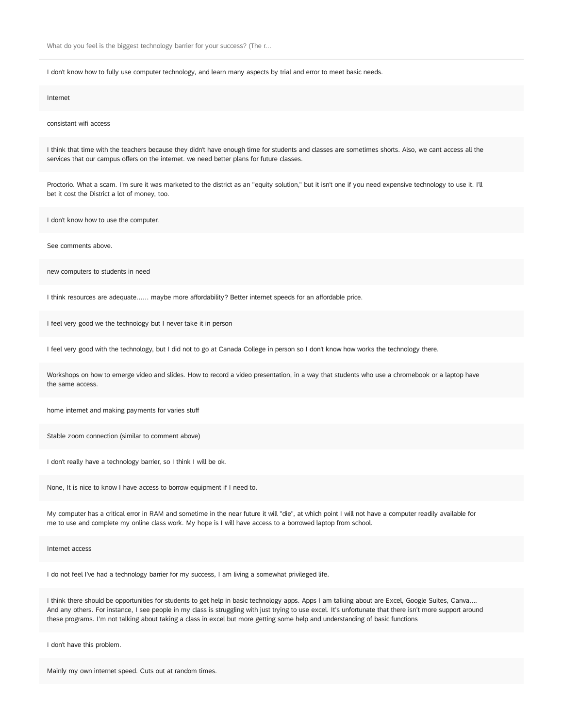I don't know how to fully use computer technology, and learn many aspects by trial and error to meet basic needs.

#### Internet

consistant wifi access

I think that time with the teachers because they didn't have enough time for students and classes are sometimes shorts. Also, we cant access all the services that our campus offers on the internet. we need better plans for future classes.

Proctorio. What a scam. I'm sure it was marketed to the district as an "equity solution," but it isn't one if you need expensive technology to use it. I'll bet it cost the District a lot of money, too.

I don't know how to use the computer.

See comments above.

new computers to students in need

I think resources are adequate...... maybe more affordability? Better internet speeds for an affordable price.

I feel very good we the technology but I never take it in person

I feel very good with the technology, but I did not to go at Canada College in person so I don't know how works the technology there.

Workshops on how to emerge video and slides. How to record a video presentation, in a way that students who use a chromebook or a laptop have the same access.

home internet and making payments for varies stuff

Stable zoom connection (similar to comment above)

I don't really have a technology barrier, so I think I will be ok.

None, It is nice to know I have access to borrow equipment if I need to.

My computer has a critical error in RAM and sometime in the near future it will "die", at which point I will not have a computer readily available for me to use and complete my online class work. My hope is I will have access to a borrowed laptop from school.

Internet access

I do not feel I've had a technology barrier for my success, I am living a somewhat privileged life.

I think there should be opportunities for students to get help in basic technology apps. Apps I am talking about are Excel, Google Suites, Canva…. And any others. For instance, I see people in my class is struggling with just trying to use excel. It's unfortunate that there isn't more support around these programs. I'm not talking about taking a class in excel but more getting some help and understanding of basic functions

I don't have this problem.

Mainly my own internet speed. Cuts out at random times.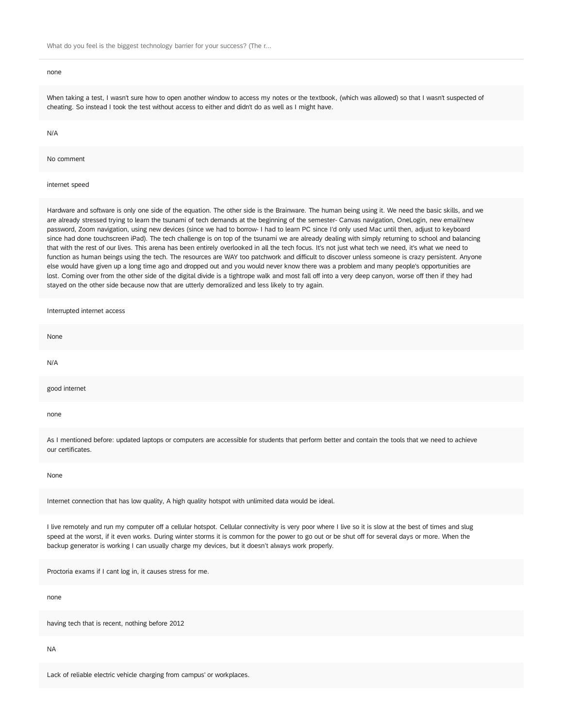#### none

When taking a test, I wasn't sure how to open another window to access my notes or the textbook, (which was allowed) so that I wasn't suspected of cheating. So instead I took the test without access to either and didn't do as well as I might have.

#### N/A

No comment

#### internet speed

Hardware and software is only one side of the equation. The other side is the Brainware. The human being using it. We need the basic skills, and we are already stressed trying to learn the tsunami of tech demands at the beginning of the semester- Canvas navigation, OneLogin, new email/new password, Zoom navigation, using new devices (since we had to borrow- I had to learn PC since I'd only used Mac until then, adjust to keyboard since had done touchscreen iPad). The tech challenge is on top of the tsunami we are already dealing with simply returning to school and balancing that with the rest of our lives. This arena has been entirely overlooked in all the tech focus. It's not just what tech we need, it's what we need to function as human beings using the tech. The resources are WAY too patchwork and difficult to discover unless someone is crazy persistent. Anyone else would have given up a long time ago and dropped out and you would never know there was a problem and many people's opportunities are lost. Coming over from the other side of the digital divide is a tightrope walk and most fall off into a very deep canyon, worse off then if they had stayed on the other side because now that are utterly demoralized and less likely to try again.

| Interrupted internet access                                                                                                                                                                                                                                                                                  |
|--------------------------------------------------------------------------------------------------------------------------------------------------------------------------------------------------------------------------------------------------------------------------------------------------------------|
| None                                                                                                                                                                                                                                                                                                         |
| N/A                                                                                                                                                                                                                                                                                                          |
| good internet                                                                                                                                                                                                                                                                                                |
| none                                                                                                                                                                                                                                                                                                         |
| As I mentioned before: updated laptops or computers are accessible for students that perform better and contain the tools that we need to achieve<br>our certificates.                                                                                                                                       |
| None                                                                                                                                                                                                                                                                                                         |
| Internet connection that has low quality, A high quality hotspot with unlimited data would be ideal.                                                                                                                                                                                                         |
| I live remotely and run my computer off a cellular hotspot. Cellular connectivity is very poor where I live so it is slow at the best of times and slug<br>speed at the worst, if it even works. During winter storms it is common for the power to go out or be shut off for several days or more. When the |

Proctoria exams if I cant log in, it causes stress for me.

backup generator is working I can usually charge my devices, but it doesn't always work properly.

none

having tech that is recent, nothing before 2012

NA

Lack of reliable electric vehicle charging from campus' or workplaces.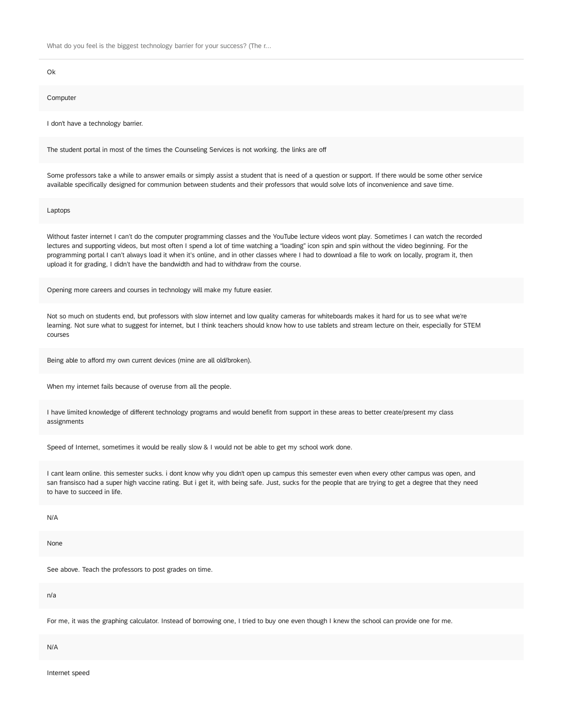Ok

#### **Computer**

I don't have a technology barrier.

The student portal in most of the times the Counseling Services is not working. the links are off

Some professors take a while to answer emails or simply assist a student that is need of a question or support. If there would be some other service available specifically designed for communion between students and their professors that would solve lots of inconvenience and save time.

Laptops

Without faster internet I can't do the computer programming classes and the YouTube lecture videos wont play. Sometimes I can watch the recorded lectures and supporting videos, but most often I spend a lot of time watching a "loading" icon spin and spin without the video beginning. For the programming portal I can't always load it when it's online, and in other classes where I had to download a file to work on locally, program it, then upload it for grading, I didn't have the bandwidth and had to withdraw from the course.

Opening more careers and courses in technology will make my future easier.

Not so much on students end, but professors with slow internet and low quality cameras for whiteboards makes it hard for us to see what we're learning. Not sure what to suggest for internet, but I think teachers should know how to use tablets and stream lecture on their, especially for STEM courses

Being able to afford my own current devices (mine are all old/broken).

When my internet fails because of overuse from all the people.

I have limited knowledge of different technology programs and would benefit from support in these areas to better create/present my class assignments

Speed of Internet, sometimes it would be really slow & I would not be able to get my school work done.

I cant learn online. this semester sucks. i dont know why you didn't open up campus this semester even when every other campus was open, and san fransisco had a super high vaccine rating. But i get it, with being safe. Just, sucks for the people that are trying to get a degree that they need to have to succeed in life.

N/A

None

See above. Teach the professors to post grades on time.

n/a

For me, it was the graphing calculator. Instead of borrowing one, I tried to buy one even though I knew the school can provide one for me.

N/A

Internet speed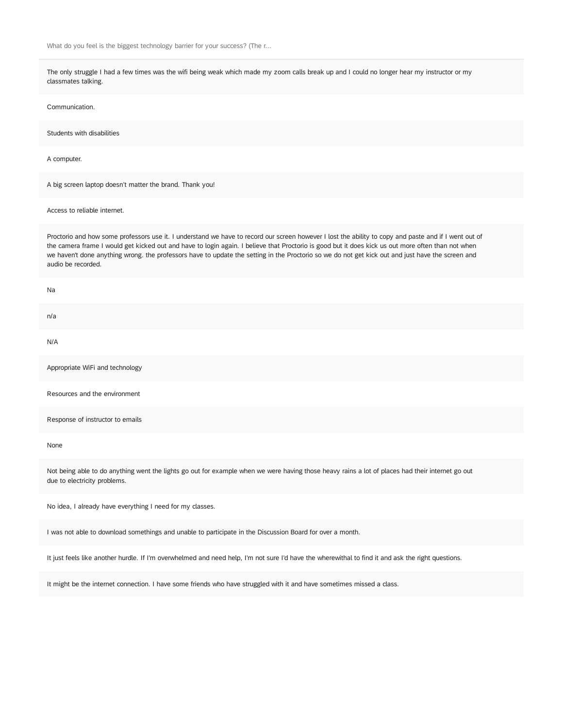The only struggle I had a few times was the wifi being weak which made my zoom calls break up and I could no longer hear my instructor or my classmates talking.

Communication.

Students with disabilities

A computer.

A big screen laptop doesn't matter the brand. Thank you!

Access to reliable internet.

Proctorio and how some professors use it. I understand we have to record our screen however I lost the ability to copy and paste and if I went out of the camera frame I would get kicked out and have to login again. I believe that Proctorio is good but it does kick us out more often than not when we haven't done anything wrong. the professors have to update the setting in the Proctorio so we do not get kick out and just have the screen and audio be recorded.

Na

n/a N/A Appropriate WiFi and technology

Resources and the environment

Response of instructor to emails

None

Not being able to do anything went the lights go out for example when we were having those heavy rains a lot of places had their internet go out due to electricity problems.

No idea, I already have everything I need for my classes.

I was not able to download somethings and unable to participate in the Discussion Board for over a month.

It just feels like another hurdle. If I'm overwhelmed and need help, I'm not sure I'd have the wherewithal to find it and ask the right questions.

It might be the internet connection. I have some friends who have struggled with it and have sometimes missed a class.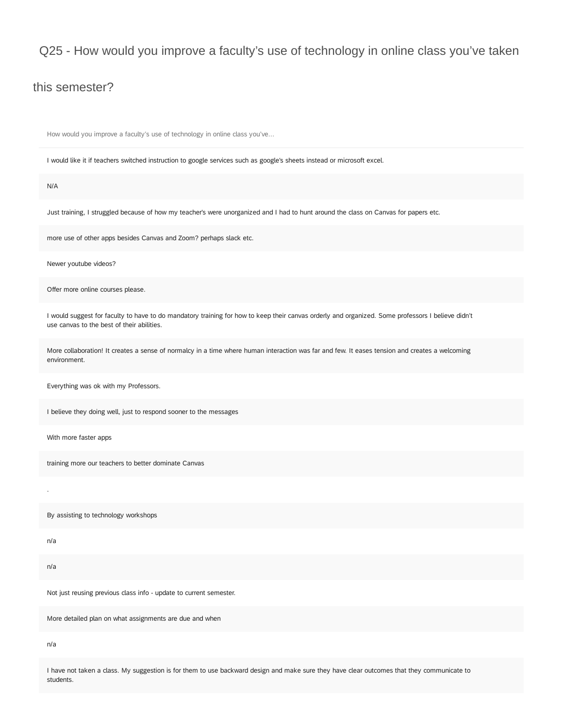### this semester?

How would you improve a faculty's use of technology in online class you've...

I would like it if teachers switched instruction to google services such as google's sheets instead or microsoft excel.

#### N/A

Just training, I struggled because of how my teacher's were unorganized and I had to hunt around the class on Canvas for papers etc.

more use of other apps besides Canvas and Zoom? perhaps slack etc.

Newer youtube videos?

Offer more online courses please.

I would suggest for faculty to have to do mandatory training for how to keep their canvas orderly and organized. Some professors I believe didn't use canvas to the best of their abilities.

More collaboration! It creates a sense of normalcy in a time where human interaction was far and few. It eases tension and creates a welcoming environment.

Everything was ok with my Professors.

I believe they doing well, just to respond sooner to the messages

With more faster apps

training more our teachers to better dominate Canvas

By assisting to technology workshops

n/a

.

n/a

Not just reusing previous class info - update to current semester.

More detailed plan on what assignments are due and when

n/a

I have not taken a class. My suggestion is for them to use backward design and make sure they have clear outcomes that they communicate to students.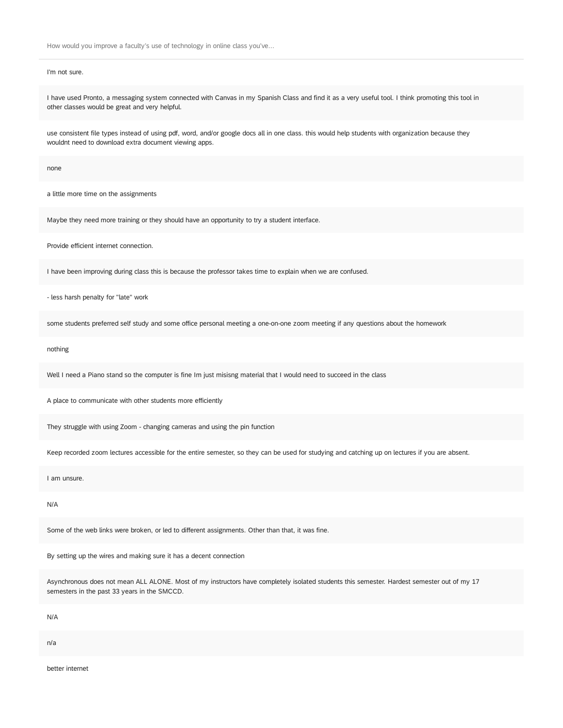#### I'm not sure.

I have used Pronto, a messaging system connected with Canvas in my Spanish Class and find it as a very useful tool. I think promoting this tool in other classes would be great and very helpful.

use consistent file types instead of using pdf, word, and/or google docs all in one class. this would help students with organization because they wouldnt need to download extra document viewing apps.

none

a little more time on the assignments

Maybe they need more training or they should have an opportunity to try a student interface.

Provide efficient internet connection.

I have been improving during class this is because the professor takes time to explain when we are confused.

- less harsh penalty for "late" work

some students preferred self study and some office personal meeting a one-on-one zoom meeting if any questions about the homework

nothing

Well I need a Piano stand so the computer is fine Im just misisng material that I would need to succeed in the class

A place to communicate with other students more efficiently

They struggle with using Zoom - changing cameras and using the pin function

Keep recorded zoom lectures accessible for the entire semester, so they can be used for studying and catching up on lectures if you are absent.

I am unsure.

N/A

Some of the web links were broken, or led to different assignments. Other than that, it was fine.

By setting up the wires and making sure it has a decent connection

Asynchronous does not mean ALL ALONE. Most of my instructors have completely isolated students this semester. Hardest semester out of my 17 semesters in the past 33 years in the SMCCD.

N/A

n/a

better internet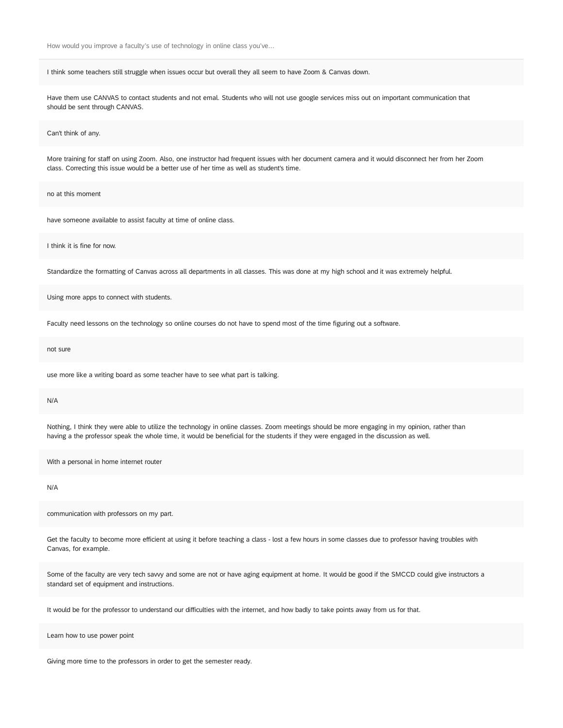I think some teachers still struggle when issues occur but overall they all seem to have Zoom & Canvas down.

Have them use CANVAS to contact students and not emal. Students who will not use google services miss out on important communication that should be sent through CANVAS.

Can't think of any.

More training for staff on using Zoom. Also, one instructor had frequent issues with her document camera and it would disconnect her from her Zoom class. Correcting this issue would be a better use of her time as well as student's time.

no at this moment

have someone available to assist faculty at time of online class.

I think it is fine for now.

Standardize the formatting of Canvas across all departments in all classes. This was done at my high school and it was extremely helpful.

Using more apps to connect with students.

Faculty need lessons on the technology so online courses do not have to spend most of the time figuring out a software.

not sure

use more like a writing board as some teacher have to see what part is talking.

N/A

Nothing, I think they were able to utilize the technology in online classes. Zoom meetings should be more engaging in my opinion, rather than having a the professor speak the whole time, it would be beneficial for the students if they were engaged in the discussion as well.

With a personal in home internet router

N/A

communication with professors on my part.

Get the faculty to become more efficient at using it before teaching a class - lost a few hours in some classes due to professor having troubles with Canvas, for example.

Some of the faculty are very tech savvy and some are not or have aging equipment at home. It would be good if the SMCCD could give instructors a standard set of equipment and instructions.

It would be for the professor to understand our difficulties with the internet, and how badly to take points away from us for that.

Learn how to use power point

Giving more time to the professors in order to get the semester ready.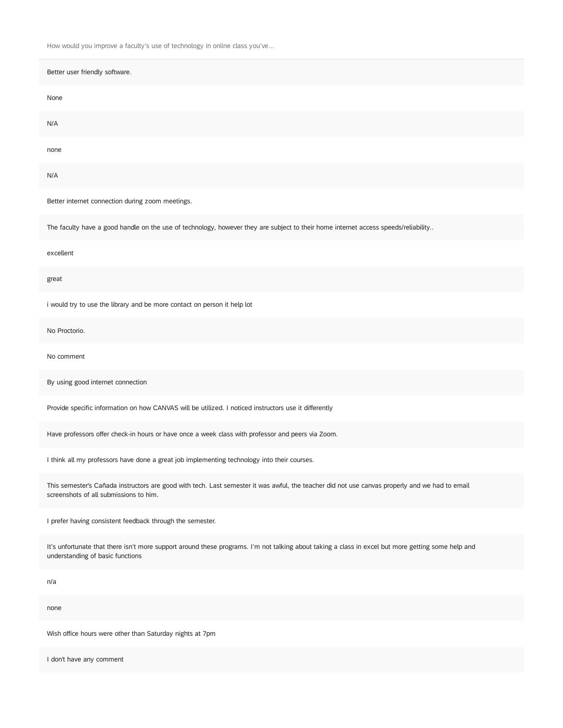| Better user friendly software.                                                                                                                                                           |
|------------------------------------------------------------------------------------------------------------------------------------------------------------------------------------------|
| None                                                                                                                                                                                     |
| N/A                                                                                                                                                                                      |
| none                                                                                                                                                                                     |
| N/A                                                                                                                                                                                      |
| Better internet connection during zoom meetings.                                                                                                                                         |
| The faculty have a good handle on the use of technology, however they are subject to their home internet access speeds/reliability                                                       |
| excellent                                                                                                                                                                                |
| great                                                                                                                                                                                    |
| i would try to use the library and be more contact on person it help lot                                                                                                                 |
| No Proctorio.                                                                                                                                                                            |
| No comment                                                                                                                                                                               |
| By using good internet connection                                                                                                                                                        |
| Provide specific information on how CANVAS will be utilized. I noticed instructors use it differently                                                                                    |
| Have professors offer check-in hours or have once a week class with professor and peers via Zoom.                                                                                        |
| I think all my professors have done a great job implementing technology into their courses.                                                                                              |
| This semester's Cañada instructors are good with tech. Last semester it was awful, the teacher did not use canvas properly and we had to email<br>screenshots of all submissions to him. |
| I prefer having consistent feedback through the semester.                                                                                                                                |
| It's unfortunate that there isn't more support around these programs. I'm not talking about taking a class in excel but more getting some help and<br>understanding of basic functions   |
| n/a                                                                                                                                                                                      |
| none                                                                                                                                                                                     |

Wish office hours were other than Saturday nights at 7pm

I don't have any comment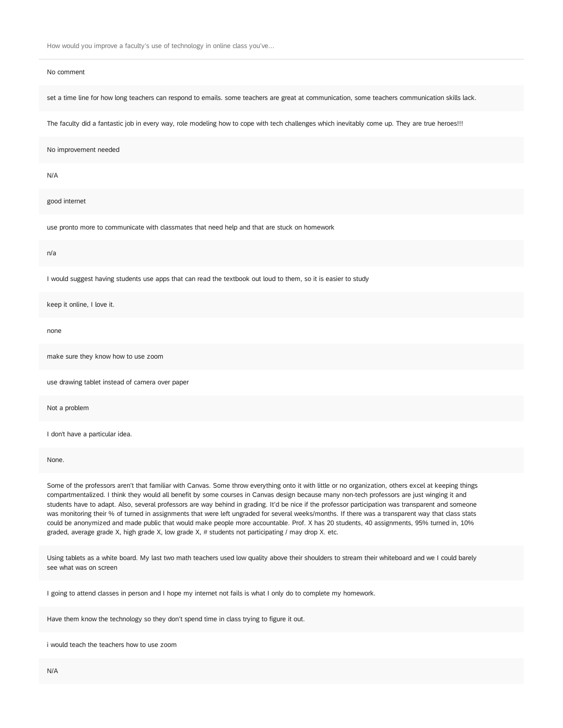#### No comment

set a time line for how long teachers can respond to emails. some teachers are great at communication, some teachers communication skills lack.

The faculty did a fantastic job in every way, role modeling how to cope with tech challenges which inevitably come up. They are true heroes!!!

No improvement needed

N/A

good internet

use pronto more to communicate with classmates that need help and that are stuck on homework

n/a

I would suggest having students use apps that can read the textbook out loud to them, so it is easier to study

keep it online, I love it.

none

make sure they know how to use zoom

use drawing tablet instead of camera over paper

Not a problem

I don't have a particular idea.

None.

Some of the professors aren't that familiar with Canvas. Some throw everything onto it with little or no organization, others excel at keeping things compartmentalized. I think they would all benefit by some courses in Canvas design because many non-tech professors are just winging it and students have to adapt. Also, several professors are way behind in grading. It'd be nice if the professor participation was transparent and someone was monitoring their % of turned in assignments that were left ungraded for several weeks/months. If there was a transparent way that class stats could be anonymized and made public that would make people more accountable. Prof. X has 20 students, 40 assignments, 95% turned in, 10% graded, average grade X, high grade X, low grade X, # students not participating / may drop X. etc.

Using tablets as a white board. My last two math teachers used low quality above their shoulders to stream their whiteboard and we I could barely see what was on screen

I going to attend classes in person and I hope my internet not fails is what I only do to complete my homework.

Have them know the technology so they don't spend time in class trying to figure it out.

i would teach the teachers how to use zoom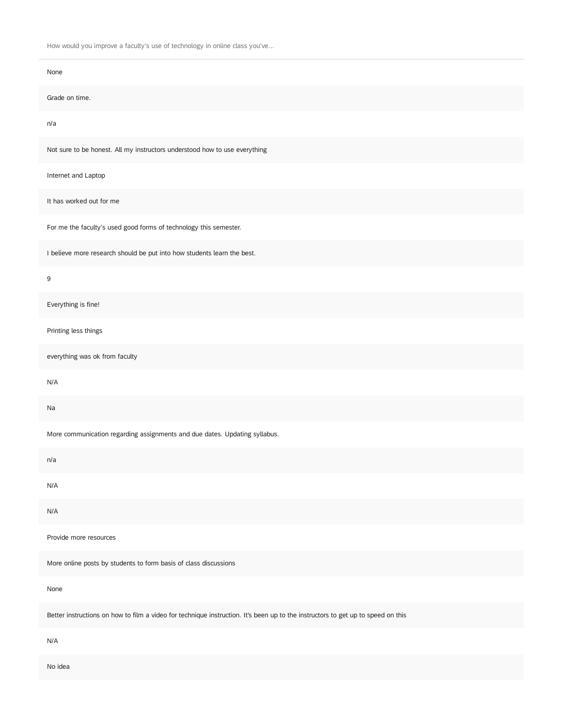| None                                                                                                                             |
|----------------------------------------------------------------------------------------------------------------------------------|
| Grade on time.                                                                                                                   |
| n/a                                                                                                                              |
| Not sure to be honest. All my instructors understood how to use everything                                                       |
| Internet and Laptop                                                                                                              |
| It has worked out for me                                                                                                         |
| For me the faculty's used good forms of technology this semester.                                                                |
| I believe more research should be put into how students learn the best.                                                          |
| 9                                                                                                                                |
| Everything is fine!                                                                                                              |
| Printing less things                                                                                                             |
| everything was ok from faculty                                                                                                   |
| N/A                                                                                                                              |
| Na                                                                                                                               |
| More communication regarding assignments and due dates. Updating syllabus.                                                       |
| n/a                                                                                                                              |
| N/A                                                                                                                              |
| N/A                                                                                                                              |
| Provide more resources                                                                                                           |
| More online posts by students to form basis of class discussions                                                                 |
| None                                                                                                                             |
| Better instructions on how to film a video for technique instruction. It's been up to the instructors to get up to speed on this |
| N/A                                                                                                                              |
| No idea                                                                                                                          |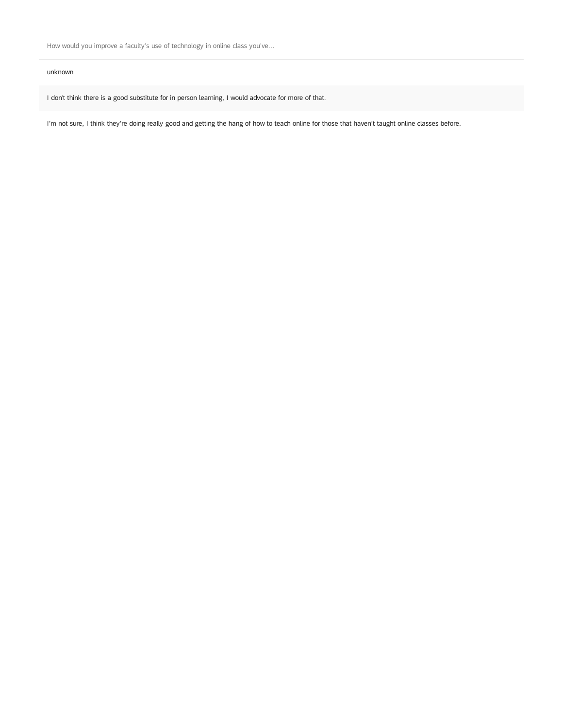#### unknown

I don't think there is a good substitute for in person learning, I would advocate for more of that.

I'm not sure, I think they're doing really good and getting the hang of how to teach online for those that haven't taught online classes before.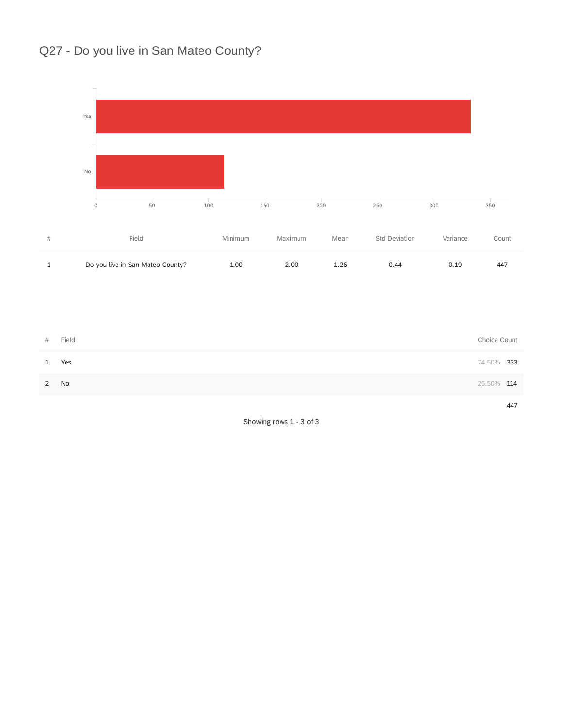## Q27 - Do you live in San Mateo County?



| 1 Yes | 74.50% 333 |     |
|-------|------------|-----|
| 2 No  | 25.50% 114 |     |
|       |            | 447 |

Showing rows 1 - 3 of 3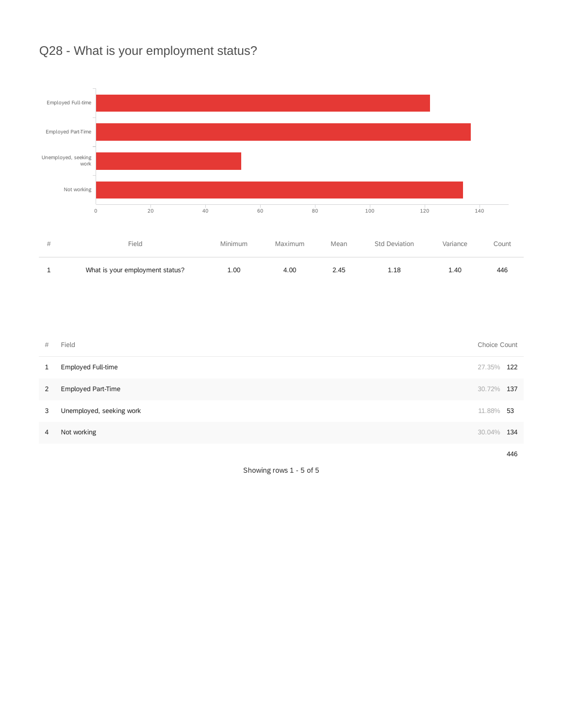## Q28 - What is your employment status?



| #              | Field                    | Choice Count |     |
|----------------|--------------------------|--------------|-----|
| 1              | Employed Full-time       | 27.35% 122   |     |
| $\overline{2}$ | Employed Part-Time       | 30.72% 137   |     |
| 3              | Unemployed, seeking work | 11.88% 53    |     |
| 4              | Not working              | 30.04%       | 134 |
|                |                          |              | 446 |

Showing rows 1 - 5 of 5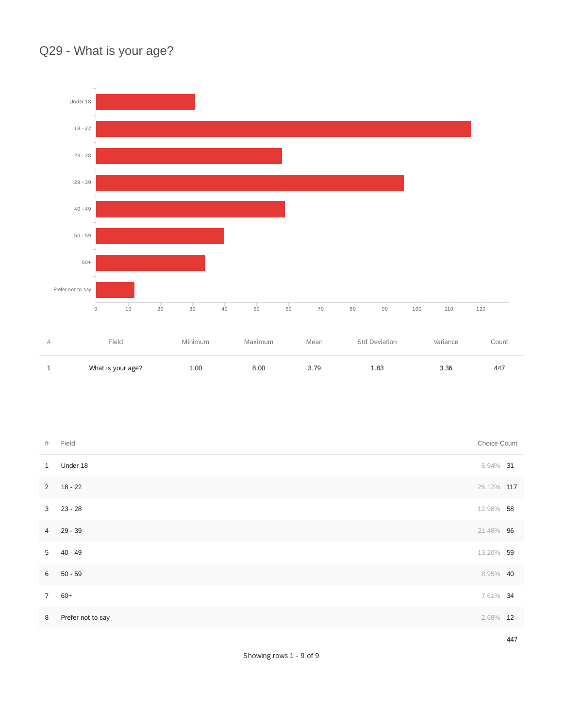## Q29 - What is your age?



| - | What is your age? | 1.00 | מד כ | 83<br>⊥.∪⊖ | $\sim$<br>いいい | 44, |
|---|-------------------|------|------|------------|---------------|-----|
|   |                   |      |      |            |               |     |

| $\#$           | Field             | Choice Count |     |
|----------------|-------------------|--------------|-----|
| $\mathbf{1}$   | Under 18          | $6.94\%$ 31  |     |
| $2^{\circ}$    | $18 - 22$         | 26.17% 117   |     |
| 3 <sup>7</sup> | $23 - 28$         | 12.98% 58    |     |
|                | 4 29 - 39         | 21.48% 96    |     |
| 5 <sup>5</sup> | 40 - 49           | 13.20% 59    |     |
| 6              | $50 - 59$         | 8.95% 40     |     |
| 7 <sup>7</sup> | $60+$             | 7.61% 34     |     |
| 8              | Prefer not to say | 2.68% 12     |     |
|                |                   |              | 447 |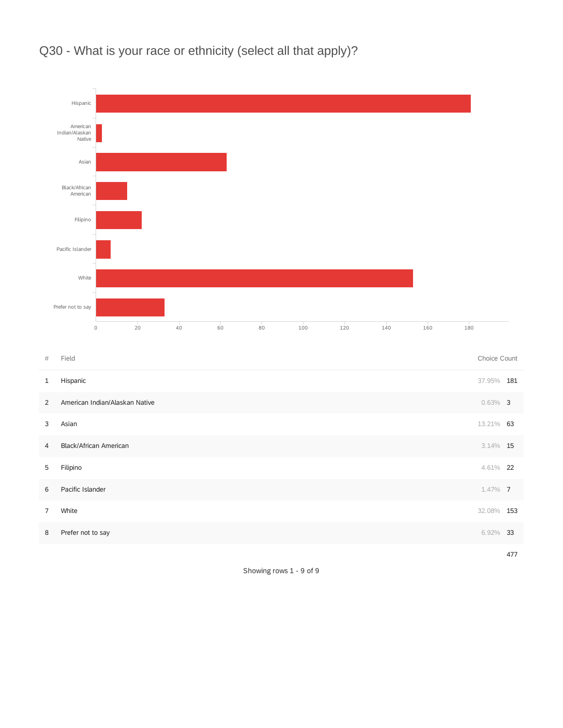

Q30 - What is your race or ethnicity (select all that apply)?

| $\#$           | Field                          | Choice Count |  |
|----------------|--------------------------------|--------------|--|
| 1              | Hispanic                       | 37.95% 181   |  |
| 2              | American Indian/Alaskan Native | $0.63\%$ 3   |  |
| 3              | Asian                          | 13.21% 63    |  |
| $\overline{4}$ | Black/African American         | $3.14\%$ 15  |  |
| 5              | Filipino                       | 4.61% 22     |  |
| 6              | Pacific Islander               | $1.47\%$ 7   |  |
| $\overline{7}$ | White                          | 32.08% 153   |  |
| 8              | Prefer not to say              | 6.92% 33     |  |
|                |                                |              |  |

477

Showing rows 1 - 9 of 9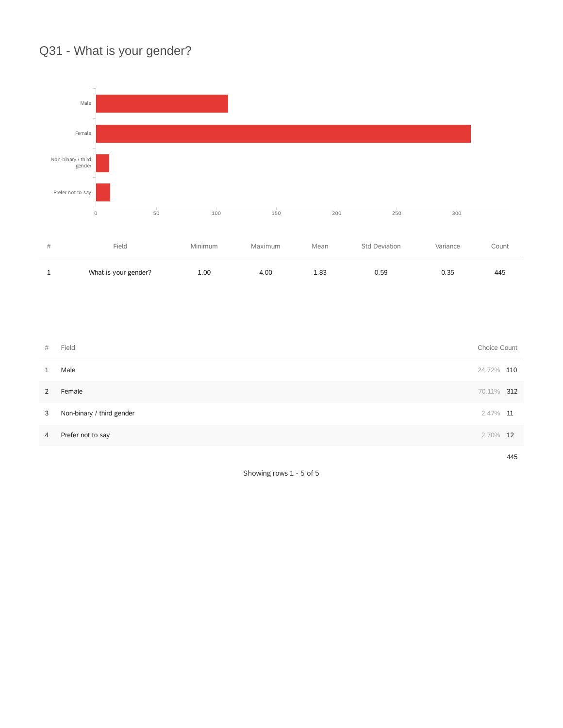## Q31 - What is your gender?



| #              | Field                     | Choice Count |     |
|----------------|---------------------------|--------------|-----|
| $\mathbf{1}$   | Male                      | 24.72% 110   |     |
| $2^{\circ}$    | Female                    | 70.11% 312   |     |
| 3              | Non-binary / third gender | $2.47\%$ 11  |     |
| $\overline{4}$ | Prefer not to say         | $2.70\%$ 12  |     |
|                |                           |              | 445 |

Showing rows 1 - 5 of 5